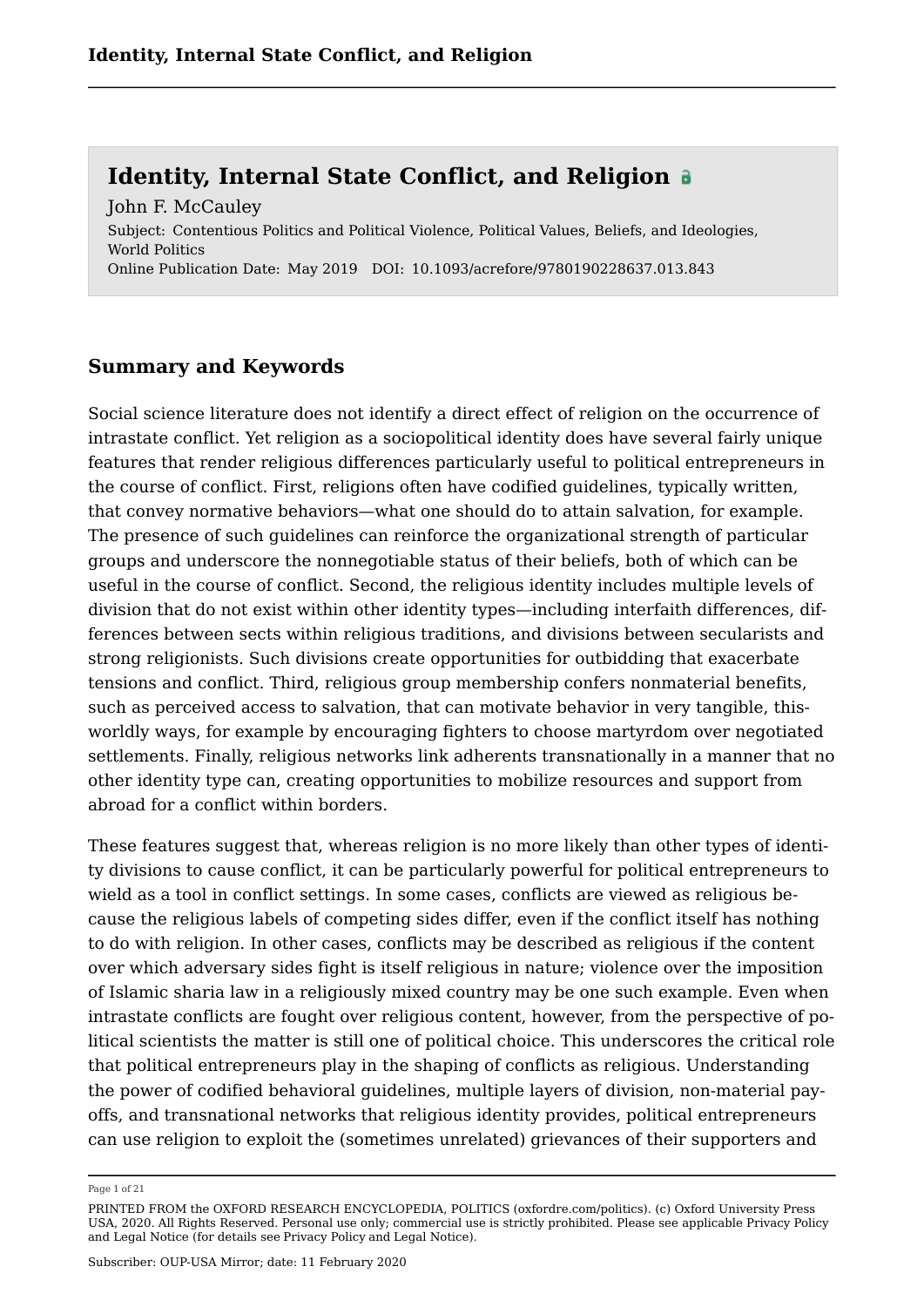Subject: Contentious Politics and Political Violence, Political Values, Beliefs, and Ideologies, World Politics Online Publication Date: May 2019 DOI: 10.1093/acrefore/9780190228637.013.843 John F. McCauley

#### **Summary and Keywords**

Social science literature does not identify a direct effect of religion on the occurrence of intrastate conflict. Yet religion as a sociopolitical identity does have several fairly unique features that render religious differences particularly useful to political entrepreneurs in the course of conflict. First, religions often have codified guidelines, typically written, that convey normative behaviors—what one should do to attain salvation, for example. The presence of such guidelines can reinforce the organizational strength of particular groups and underscore the nonnegotiable status of their beliefs, both of which can be useful in the course of conflict. Second, the religious identity includes multiple levels of division that do not exist within other identity types—including interfaith differences, differences between sects within religious traditions, and divisions between secularists and strong religionists. Such divisions create opportunities for outbidding that exacerbate tensions and conflict. Third, religious group membership confers nonmaterial benefits, such as perceived access to salvation, that can motivate behavior in very tangible, thisworldly ways, for example by encouraging fighters to choose martyrdom over negotiated settlements. Finally, religious networks link adherents transnationally in a manner that no other identity type can, creating opportunities to mobilize resources and support from abroad for a conflict within borders.

These features suggest that, whereas religion is no more likely than other types of identity divisions to cause conflict, it can be particularly powerful for political entrepreneurs to wield as a tool in conflict settings. In some cases, conflicts are viewed as religious because the religious labels of competing sides differ, even if the conflict itself has nothing to do with religion. In other cases, conflicts may be described as religious if the content over which adversary sides fight is itself religious in nature; violence over the imposition of Islamic sharia law in a religiously mixed country may be one such example. Even when intrastate conflicts are fought over religious content, however, from the perspective of political scientists the matter is still one of political choice. This underscores the critical role that political entrepreneurs play in the shaping of conflicts as religious. Understanding the power of codified behavioral guidelines, multiple layers of division, non-material payoffs, and transnational networks that religious identity provides, political entrepreneurs can use religion to exploit the (sometimes unrelated) grievances of their supporters and

Page 1 of 21

PRINTED FROM the OXFORD RESEARCH ENCYCLOPEDIA, POLITICS (oxfordre.com/politics). (c) Oxford University Press USA, 2020. All Rights Reserved. Personal use only; commercial use is strictly prohibited. Please see applicable Privacy Policy and Legal Notice (for details see Privacy Policy and Legal Notice).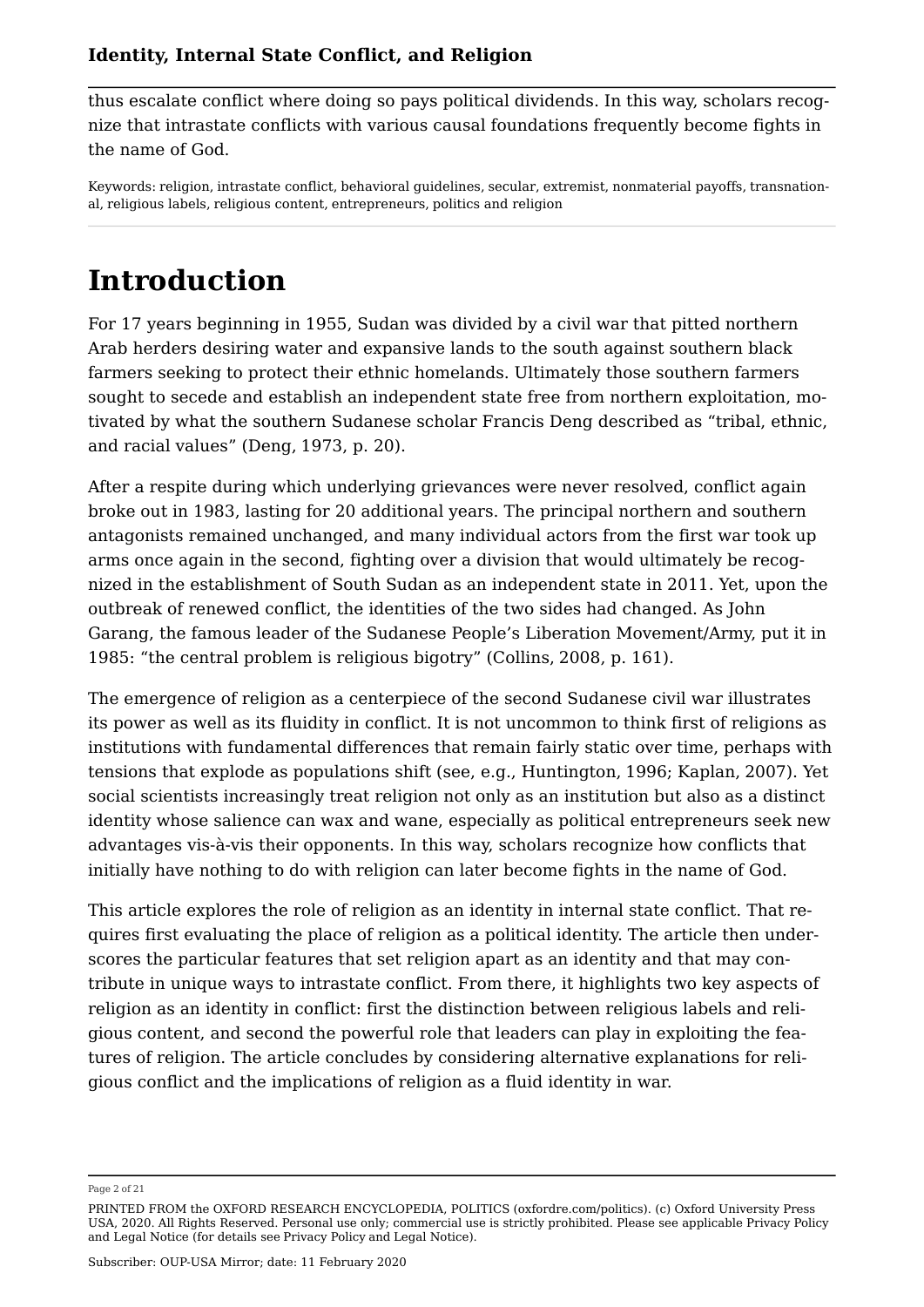thus escalate conflict where doing so pays political dividends. In this way, scholars recognize that intrastate conflicts with various causal foundations frequently become fights in the name of God.

Keywords: religion, intrastate conflict, behavioral guidelines, secular, extremist, nonmaterial payoffs, transnational, religious labels, religious content, entrepreneurs, politics and religion

# **Introduction**

For 17 years beginning in 1955, Sudan was divided by a civil war that pitted northern Arab herders desiring water and expansive lands to the south against southern black farmers seeking to protect their ethnic homelands. Ultimately those southern farmers sought to secede and establish an independent state free from northern exploitation, motivated by what the southern Sudanese scholar Francis Deng described as "tribal, ethnic, and racial values" (Deng, 1973, p. 20).

After a respite during which underlying grievances were never resolved, conflict again broke out in 1983, lasting for 20 additional years. The principal northern and southern antagonists remained unchanged, and many individual actors from the first war took up arms once again in the second, fighting over a division that would ultimately be recognized in the establishment of South Sudan as an independent state in 2011. Yet, upon the outbreak of renewed conflict, the identities of the two sides had changed. As John Garang, the famous leader of the Sudanese People's Liberation Movement/Army, put it in 1985: "the central problem is religious bigotry" (Collins, 2008, p. 161).

The emergence of religion as a centerpiece of the second Sudanese civil war illustrates its power as well as its fluidity in conflict. It is not uncommon to think first of religions as institutions with fundamental differences that remain fairly static over time, perhaps with tensions that explode as populations shift (see, e.g., Huntington, 1996; Kaplan, 2007). Yet social scientists increasingly treat religion not only as an institution but also as a distinct identity whose salience can wax and wane, especially as political entrepreneurs seek new advantages vis-à-vis their opponents. In this way, scholars recognize how conflicts that initially have nothing to do with religion can later become fights in the name of God.

This article explores the role of religion as an identity in internal state conflict. That requires first evaluating the place of religion as a political identity. The article then underscores the particular features that set religion apart as an identity and that may contribute in unique ways to intrastate conflict. From there, it highlights two key aspects of religion as an identity in conflict: first the distinction between religious labels and religious content, and second the powerful role that leaders can play in exploiting the features of religion. The article concludes by considering alternative explanations for religious conflict and the implications of religion as a fluid identity in war.

Page 2 of 21

PRINTED FROM the OXFORD RESEARCH ENCYCLOPEDIA, POLITICS (oxfordre.com/politics). (c) Oxford University Press USA, 2020. All Rights Reserved. Personal use only; commercial use is strictly prohibited. Please see applicable Privacy Policy and Legal Notice (for details see Privacy Policy and Legal Notice).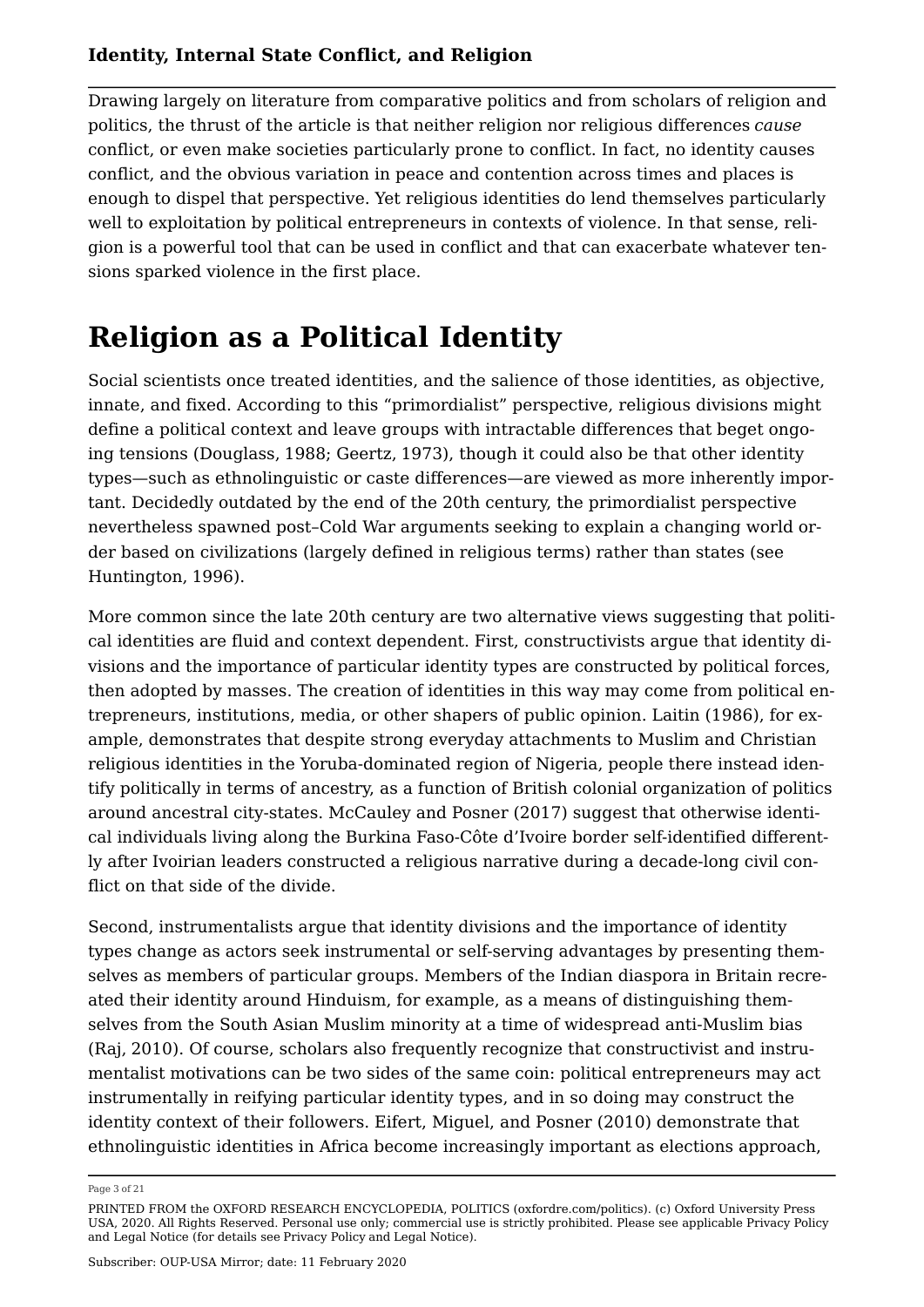Drawing largely on literature from comparative politics and from scholars of religion and politics, the thrust of the article is that neither religion nor religious differences *cause* conflict, or even make societies particularly prone to conflict. In fact, no identity causes conflict, and the obvious variation in peace and contention across times and places is enough to dispel that perspective. Yet religious identities do lend themselves particularly well to exploitation by political entrepreneurs in contexts of violence. In that sense, religion is a powerful tool that can be used in conflict and that can exacerbate whatever tensions sparked violence in the first place.

## **Religion as a Political Identity**

Social scientists once treated identities, and the salience of those identities, as objective, innate, and fixed. According to this "primordialist" perspective, religious divisions might define a political context and leave groups with intractable differences that beget ongoing tensions (Douglass, 1988; Geertz, 1973), though it could also be that other identity types—such as ethnolinguistic or caste differences—are viewed as more inherently important. Decidedly outdated by the end of the 20th century, the primordialist perspective nevertheless spawned post–Cold War arguments seeking to explain a changing world order based on civilizations (largely defined in religious terms) rather than states (see Huntington, 1996).

More common since the late 20th century are two alternative views suggesting that political identities are fluid and context dependent. First, constructivists argue that identity divisions and the importance of particular identity types are constructed by political forces, then adopted by masses. The creation of identities in this way may come from political entrepreneurs, institutions, media, or other shapers of public opinion. Laitin (1986), for example, demonstrates that despite strong everyday attachments to Muslim and Christian religious identities in the Yoruba-dominated region of Nigeria, people there instead identify politically in terms of ancestry, as a function of British colonial organization of politics around ancestral city-states. McCauley and Posner (2017) suggest that otherwise identical individuals living along the Burkina Faso-Côte d'Ivoire border self-identified differently after Ivoirian leaders constructed a religious narrative during a decade-long civil conflict on that side of the divide.

Second, instrumentalists argue that identity divisions and the importance of identity types change as actors seek instrumental or self-serving advantages by presenting themselves as members of particular groups. Members of the Indian diaspora in Britain recreated their identity around Hinduism, for example, as a means of distinguishing themselves from the South Asian Muslim minority at a time of widespread anti-Muslim bias (Raj, 2010). Of course, scholars also frequently recognize that constructivist and instrumentalist motivations can be two sides of the same coin: political entrepreneurs may act instrumentally in reifying particular identity types, and in so doing may construct the identity context of their followers. Eifert, Miguel, and Posner (2010) demonstrate that ethnolinguistic identities in Africa become increasingly important as elections approach,

Page 3 of 21

PRINTED FROM the OXFORD RESEARCH ENCYCLOPEDIA, POLITICS (oxfordre.com/politics). (c) Oxford University Press USA, 2020. All Rights Reserved. Personal use only; commercial use is strictly prohibited. Please see applicable Privacy Policy and Legal Notice (for details see Privacy Policy and Legal Notice).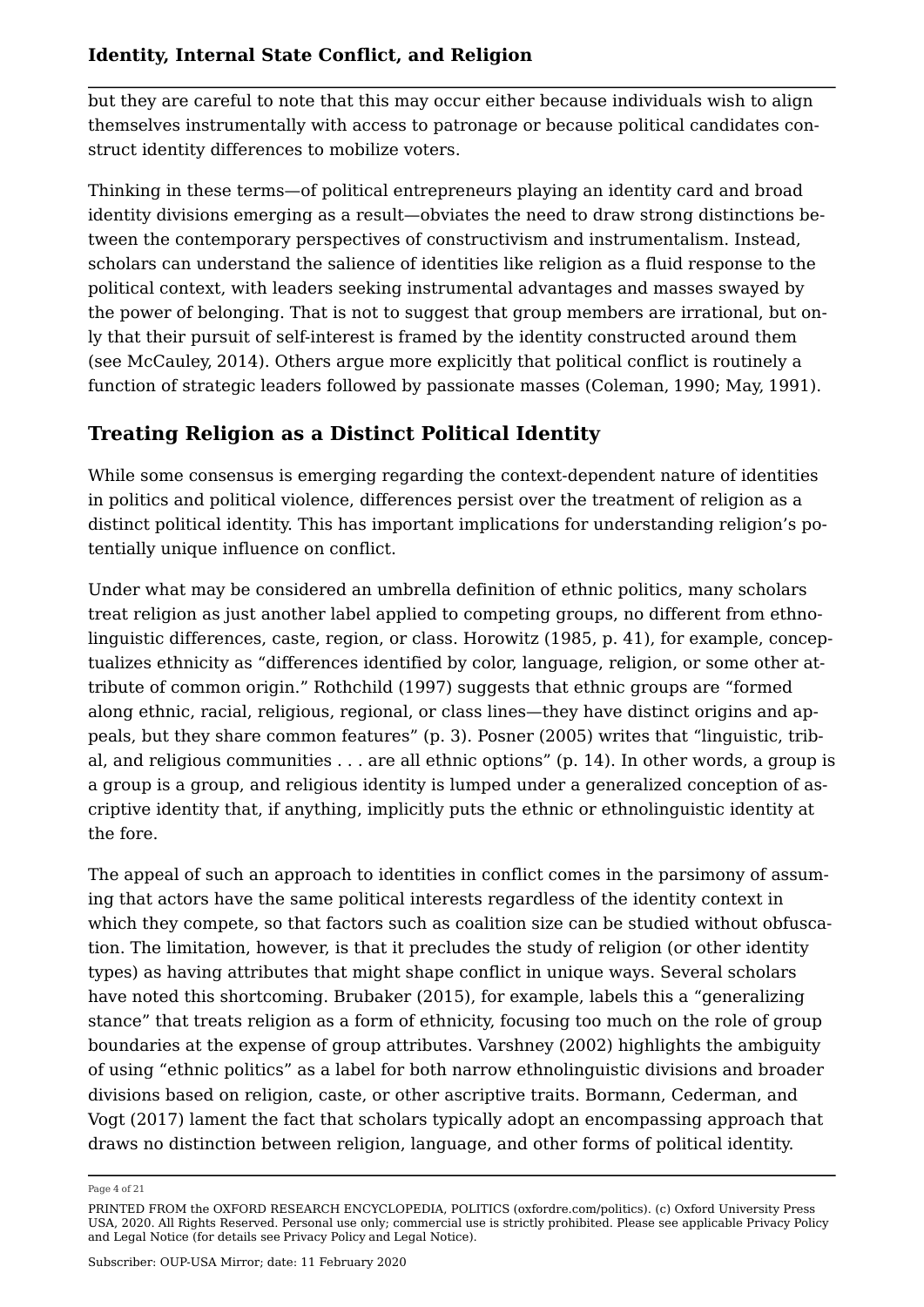but they are careful to note that this may occur either because individuals wish to align themselves instrumentally with access to patronage or because political candidates construct identity differences to mobilize voters.

Thinking in these terms—of political entrepreneurs playing an identity card and broad identity divisions emerging as a result—obviates the need to draw strong distinctions between the contemporary perspectives of constructivism and instrumentalism. Instead, scholars can understand the salience of identities like religion as a fluid response to the political context, with leaders seeking instrumental advantages and masses swayed by the power of belonging. That is not to suggest that group members are irrational, but only that their pursuit of self-interest is framed by the identity constructed around them (see McCauley, 2014). Others argue more explicitly that political conflict is routinely a function of strategic leaders followed by passionate masses (Coleman, 1990; May, 1991).

## **Treating Religion as a Distinct Political Identity**

While some consensus is emerging regarding the context-dependent nature of identities in politics and political violence, differences persist over the treatment of religion as a distinct political identity. This has important implications for understanding religion's potentially unique influence on conflict.

Under what may be considered an umbrella definition of ethnic politics, many scholars treat religion as just another label applied to competing groups, no different from ethnolinguistic differences, caste, region, or class. Horowitz (1985, p. 41), for example, conceptualizes ethnicity as "differences identified by color, language, religion, or some other attribute of common origin." Rothchild (1997) suggests that ethnic groups are "formed along ethnic, racial, religious, regional, or class lines—they have distinct origins and appeals, but they share common features" (p. 3). Posner (2005) writes that "linguistic, tribal, and religious communities . . . are all ethnic options" (p. 14). In other words, a group is a group is a group, and religious identity is lumped under a generalized conception of ascriptive identity that, if anything, implicitly puts the ethnic or ethnolinguistic identity at the fore.

The appeal of such an approach to identities in conflict comes in the parsimony of assuming that actors have the same political interests regardless of the identity context in which they compete, so that factors such as coalition size can be studied without obfuscation. The limitation, however, is that it precludes the study of religion (or other identity types) as having attributes that might shape conflict in unique ways. Several scholars have noted this shortcoming. Brubaker (2015), for example, labels this a "generalizing stance" that treats religion as a form of ethnicity, focusing too much on the role of group boundaries at the expense of group attributes. Varshney (2002) highlights the ambiguity of using "ethnic politics" as a label for both narrow ethnolinguistic divisions and broader divisions based on religion, caste, or other ascriptive traits. Bormann, Cederman, and Vogt (2017) lament the fact that scholars typically adopt an encompassing approach that draws no distinction between religion, language, and other forms of political identity.

Page 4 of 21

PRINTED FROM the OXFORD RESEARCH ENCYCLOPEDIA, POLITICS (oxfordre.com/politics). (c) Oxford University Press USA, 2020. All Rights Reserved. Personal use only; commercial use is strictly prohibited. Please see applicable Privacy Policy and Legal Notice (for details see Privacy Policy and Legal Notice).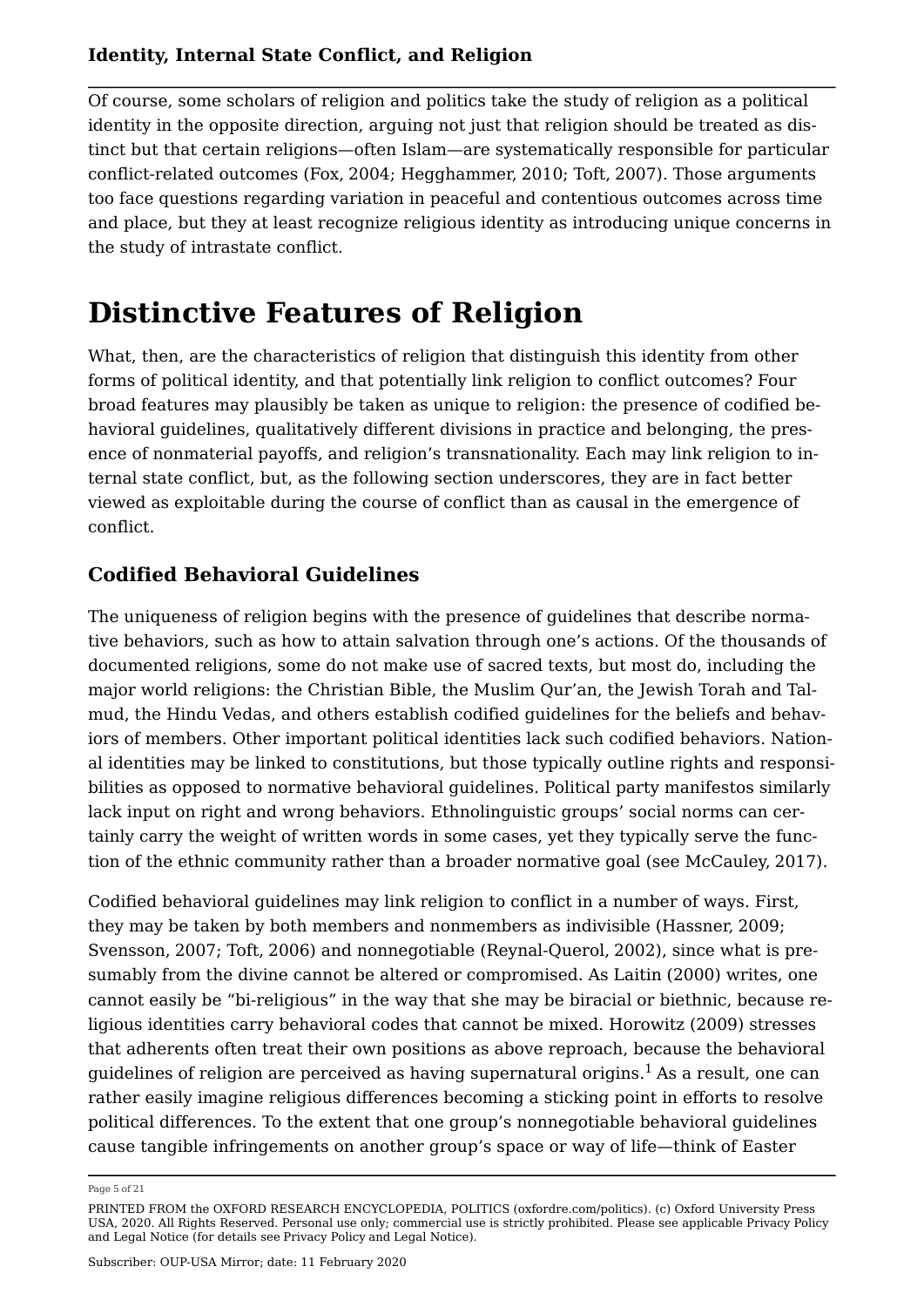Of course, some scholars of religion and politics take the study of religion as a political identity in the opposite direction, arguing not just that religion should be treated as distinct but that certain religions—often Islam—are systematically responsible for particular conflict-related outcomes (Fox, 2004; Hegghammer, 2010; Toft, 2007). Those arguments too face questions regarding variation in peaceful and contentious outcomes across time and place, but they at least recognize religious identity as introducing unique concerns in the study of intrastate conflict.

## **Distinctive Features of Religion**

What, then, are the characteristics of religion that distinguish this identity from other forms of political identity, and that potentially link religion to conflict outcomes? Four broad features may plausibly be taken as unique to religion: the presence of codified behavioral guidelines, qualitatively different divisions in practice and belonging, the presence of nonmaterial payoffs, and religion's transnationality. Each may link religion to internal state conflict, but, as the following section underscores, they are in fact better viewed as exploitable during the course of conflict than as causal in the emergence of conflict.

### **Codified Behavioral Guidelines**

The uniqueness of religion begins with the presence of guidelines that describe normative behaviors, such as how to attain salvation through one's actions. Of the thousands of documented religions, some do not make use of sacred texts, but most do, including the major world religions: the Christian Bible, the Muslim Qur'an, the Jewish Torah and Talmud, the Hindu Vedas, and others establish codified guidelines for the beliefs and behaviors of members. Other important political identities lack such codified behaviors. National identities may be linked to constitutions, but those typically outline rights and responsibilities as opposed to normative behavioral guidelines. Political party manifestos similarly lack input on right and wrong behaviors. Ethnolinguistic groups' social norms can certainly carry the weight of written words in some cases, yet they typically serve the function of the ethnic community rather than a broader normative goal (see McCauley, 2017).

Codified behavioral guidelines may link religion to conflict in a number of ways. First, they may be taken by both members and nonmembers as indivisible (Hassner, 2009; Svensson, 2007; Toft, 2006) and nonnegotiable (Reynal-Querol, 2002), since what is presumably from the divine cannot be altered or compromised. As Laitin (2000) writes, one cannot easily be "bi-religious" in the way that she may be biracial or biethnic, because religious identities carry behavioral codes that cannot be mixed. Horowitz (2009) stresses that adherents often treat their own positions as above reproach, because the behavioral guidelines of religion are perceived as having supernatural origins.<sup>1</sup> As a result, one can rather easily imagine religious differences becoming a sticking point in efforts to resolve political differences. To the extent that one group's nonnegotiable behavioral guidelines cause tangible infringements on another group's space or way of life—think of Easter

Page 5 of 21

PRINTED FROM the OXFORD RESEARCH ENCYCLOPEDIA, POLITICS (oxfordre.com/politics). (c) Oxford University Press USA, 2020. All Rights Reserved. Personal use only; commercial use is strictly prohibited. Please see applicable Privacy Policy and Legal Notice (for details see Privacy Policy and Legal Notice).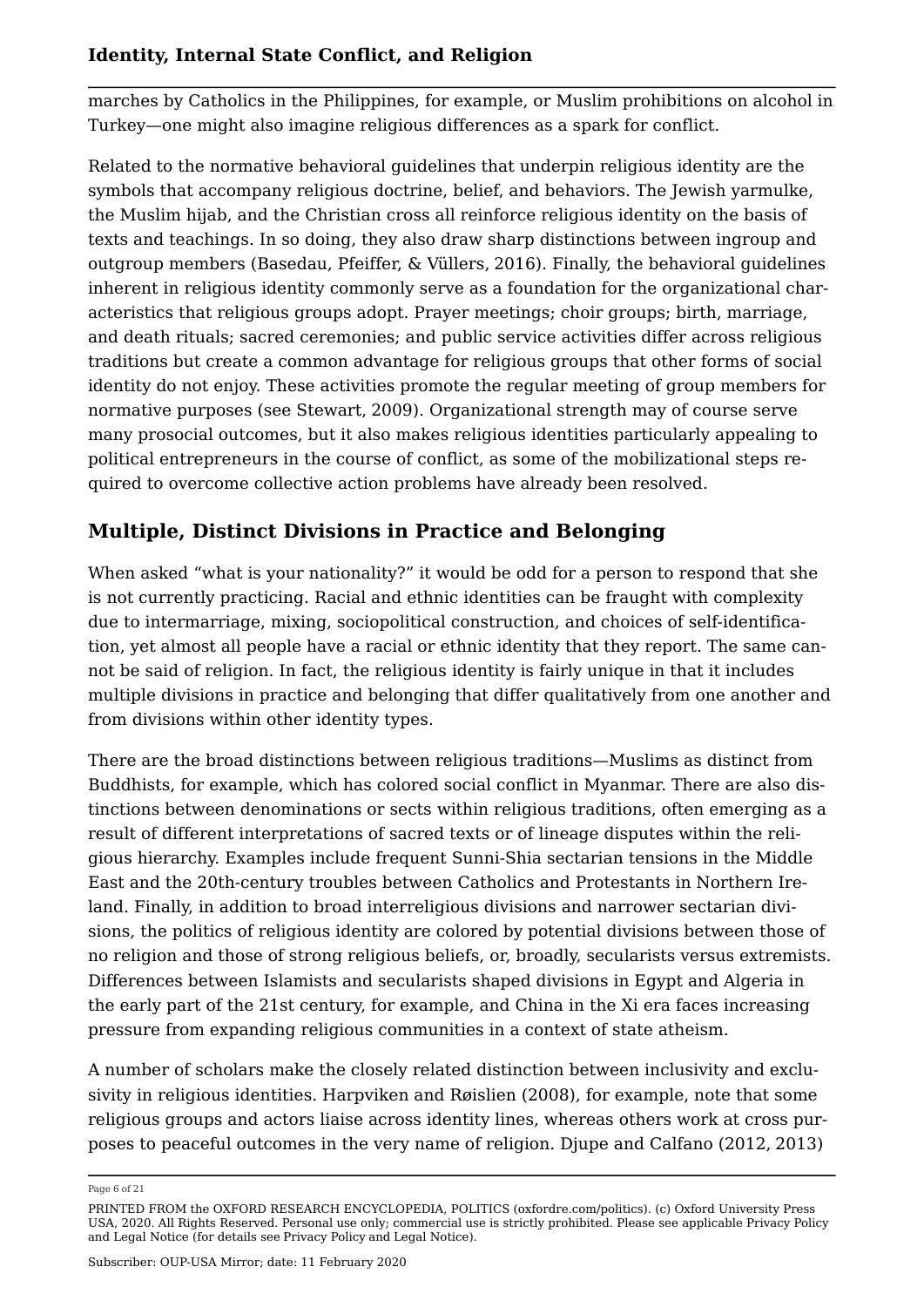marches by Catholics in the Philippines, for example, or Muslim prohibitions on alcohol in Turkey—one might also imagine religious differences as a spark for conflict.

Related to the normative behavioral guidelines that underpin religious identity are the symbols that accompany religious doctrine, belief, and behaviors. The Jewish yarmulke, the Muslim hijab, and the Christian cross all reinforce religious identity on the basis of texts and teachings. In so doing, they also draw sharp distinctions between ingroup and outgroup members (Basedau, Pfeiffer, & Vüllers, 2016). Finally, the behavioral guidelines inherent in religious identity commonly serve as a foundation for the organizational characteristics that religious groups adopt. Prayer meetings; choir groups; birth, marriage, and death rituals; sacred ceremonies; and public service activities differ across religious traditions but create a common advantage for religious groups that other forms of social identity do not enjoy. These activities promote the regular meeting of group members for normative purposes (see Stewart, 2009). Organizational strength may of course serve many prosocial outcomes, but it also makes religious identities particularly appealing to political entrepreneurs in the course of conflict, as some of the mobilizational steps required to overcome collective action problems have already been resolved.

## **Multiple, Distinct Divisions in Practice and Belonging**

When asked "what is your nationality?" it would be odd for a person to respond that she is not currently practicing. Racial and ethnic identities can be fraught with complexity due to intermarriage, mixing, sociopolitical construction, and choices of self-identification, yet almost all people have a racial or ethnic identity that they report. The same cannot be said of religion. In fact, the religious identity is fairly unique in that it includes multiple divisions in practice and belonging that differ qualitatively from one another and from divisions within other identity types.

There are the broad distinctions between religious traditions—Muslims as distinct from Buddhists, for example, which has colored social conflict in Myanmar. There are also distinctions between denominations or sects within religious traditions, often emerging as a result of different interpretations of sacred texts or of lineage disputes within the religious hierarchy. Examples include frequent Sunni-Shia sectarian tensions in the Middle East and the 20th-century troubles between Catholics and Protestants in Northern Ireland. Finally, in addition to broad interreligious divisions and narrower sectarian divisions, the politics of religious identity are colored by potential divisions between those of no religion and those of strong religious beliefs, or, broadly, secularists versus extremists. Differences between Islamists and secularists shaped divisions in Egypt and Algeria in the early part of the 21st century, for example, and China in the Xi era faces increasing pressure from expanding religious communities in a context of state atheism.

A number of scholars make the closely related distinction between inclusivity and exclusivity in religious identities. Harpviken and Røislien (2008), for example, note that some religious groups and actors liaise across identity lines, whereas others work at cross purposes to peaceful outcomes in the very name of religion. Djupe and Calfano (2012, 2013)

Page 6 of 21

PRINTED FROM the OXFORD RESEARCH ENCYCLOPEDIA, POLITICS (oxfordre.com/politics). (c) Oxford University Press USA, 2020. All Rights Reserved. Personal use only; commercial use is strictly prohibited. Please see applicable Privacy Policy and Legal Notice (for details see Privacy Policy and Legal Notice).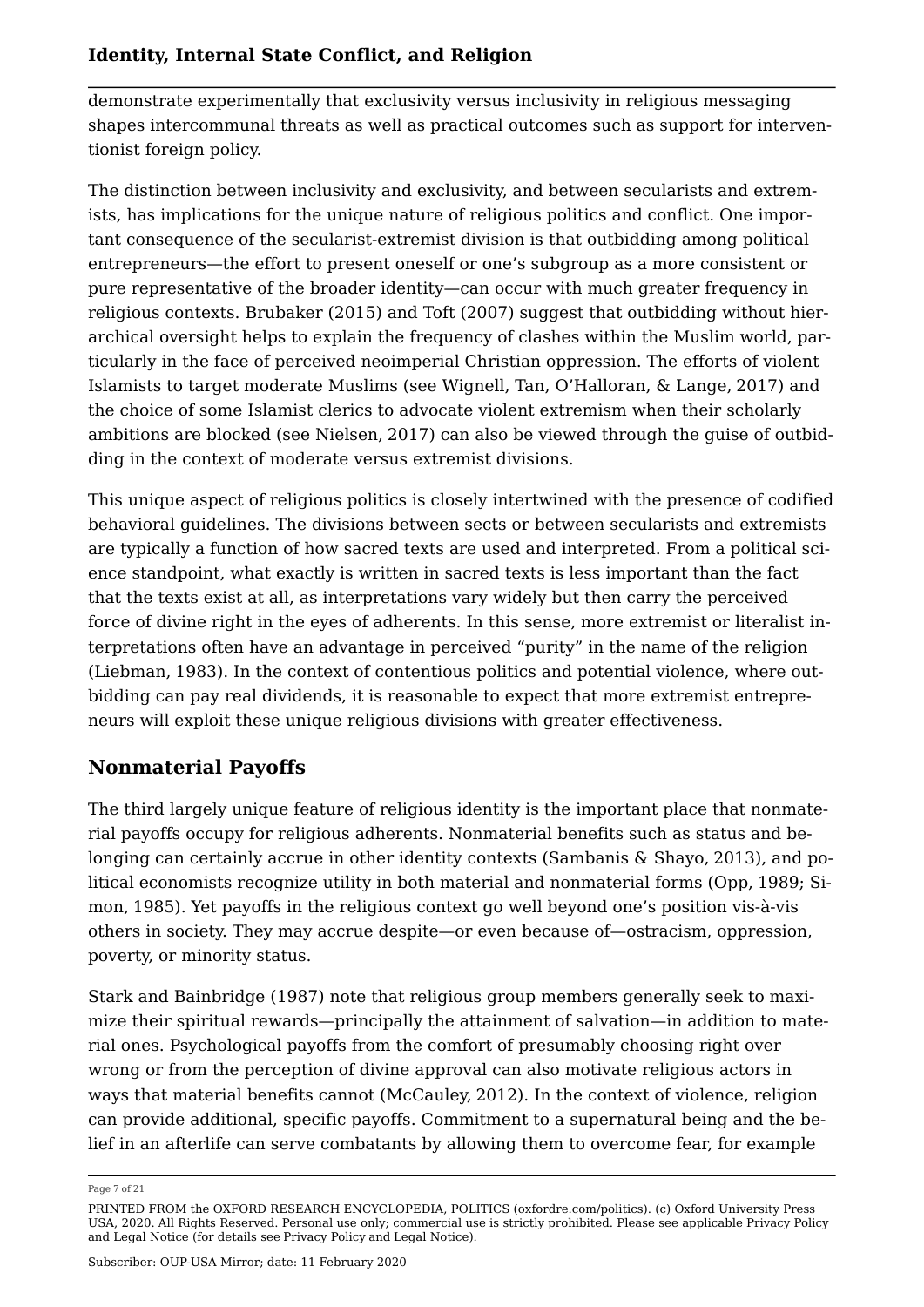demonstrate experimentally that exclusivity versus inclusivity in religious messaging shapes intercommunal threats as well as practical outcomes such as support for interventionist foreign policy.

The distinction between inclusivity and exclusivity, and between secularists and extremists, has implications for the unique nature of religious politics and conflict. One important consequence of the secularist-extremist division is that outbidding among political entrepreneurs—the effort to present oneself or one's subgroup as a more consistent or pure representative of the broader identity—can occur with much greater frequency in religious contexts. Brubaker (2015) and Toft (2007) suggest that outbidding without hierarchical oversight helps to explain the frequency of clashes within the Muslim world, particularly in the face of perceived neoimperial Christian oppression. The efforts of violent Islamists to target moderate Muslims (see Wignell, Tan, O'Halloran, & Lange, 2017) and the choice of some Islamist clerics to advocate violent extremism when their scholarly ambitions are blocked (see Nielsen, 2017) can also be viewed through the guise of outbidding in the context of moderate versus extremist divisions.

This unique aspect of religious politics is closely intertwined with the presence of codified behavioral guidelines. The divisions between sects or between secularists and extremists are typically a function of how sacred texts are used and interpreted. From a political science standpoint, what exactly is written in sacred texts is less important than the fact that the texts exist at all, as interpretations vary widely but then carry the perceived force of divine right in the eyes of adherents. In this sense, more extremist or literalist interpretations often have an advantage in perceived "purity" in the name of the religion (Liebman, 1983). In the context of contentious politics and potential violence, where outbidding can pay real dividends, it is reasonable to expect that more extremist entrepreneurs will exploit these unique religious divisions with greater effectiveness.

## **Nonmaterial Payoffs**

The third largely unique feature of religious identity is the important place that nonmaterial payoffs occupy for religious adherents. Nonmaterial benefits such as status and belonging can certainly accrue in other identity contexts (Sambanis & Shayo, 2013), and political economists recognize utility in both material and nonmaterial forms (Opp, 1989; Simon, 1985). Yet payoffs in the religious context go well beyond one's position vis-à-vis others in society. They may accrue despite—or even because of—ostracism, oppression, poverty, or minority status.

Stark and Bainbridge (1987) note that religious group members generally seek to maximize their spiritual rewards—principally the attainment of salvation—in addition to material ones. Psychological payoffs from the comfort of presumably choosing right over wrong or from the perception of divine approval can also motivate religious actors in ways that material benefits cannot (McCauley, 2012). In the context of violence, religion can provide additional, specific payoffs. Commitment to a supernatural being and the belief in an afterlife can serve combatants by allowing them to overcome fear, for example

Page 7 of 21

PRINTED FROM the OXFORD RESEARCH ENCYCLOPEDIA, POLITICS (oxfordre.com/politics). (c) Oxford University Press USA, 2020. All Rights Reserved. Personal use only; commercial use is strictly prohibited. Please see applicable Privacy Policy and Legal Notice (for details see Privacy Policy and Legal Notice).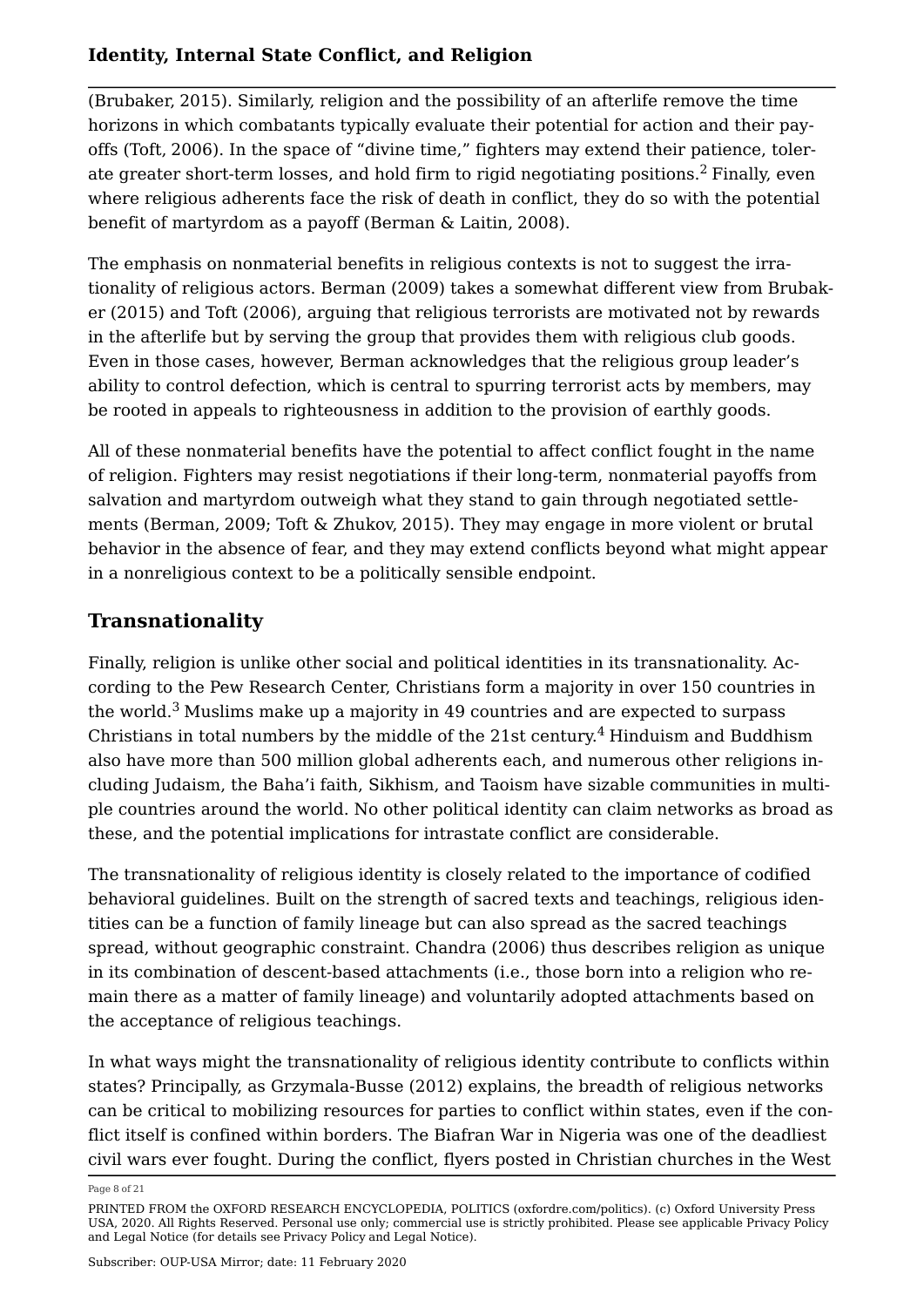(Brubaker, 2015). Similarly, religion and the possibility of an afterlife remove the time horizons in which combatants typically evaluate their potential for action and their payoffs (Toft, 2006). In the space of "divine time," fighters may extend their patience, tolerate greater short-term losses, and hold firm to rigid negotiating positions.<sup>2</sup> Finally, even where religious adherents face the risk of death in conflict, they do so with the potential benefit of martyrdom as a payoff (Berman & Laitin, 2008).

The emphasis on nonmaterial benefits in religious contexts is not to suggest the irrationality of religious actors. Berman (2009) takes a somewhat different view from Brubaker (2015) and Toft (2006), arguing that religious terrorists are motivated not by rewards in the afterlife but by serving the group that provides them with religious club goods. Even in those cases, however, Berman acknowledges that the religious group leader's ability to control defection, which is central to spurring terrorist acts by members, may be rooted in appeals to righteousness in addition to the provision of earthly goods.

All of these nonmaterial benefits have the potential to affect conflict fought in the name of religion. Fighters may resist negotiations if their long-term, nonmaterial payoffs from salvation and martyrdom outweigh what they stand to gain through negotiated settlements (Berman, 2009; Toft & Zhukov, 2015). They may engage in more violent or brutal behavior in the absence of fear, and they may extend conflicts beyond what might appear in a nonreligious context to be a politically sensible endpoint.

## **Transnationality**

Finally, religion is unlike other social and political identities in its transnationality. According to the Pew Research Center, Christians form a majority in over 150 countries in the world. $3$  Muslims make up a majority in 49 countries and are expected to surpass Christians in total numbers by the middle of the  $21st$  century.<sup>4</sup> Hinduism and Buddhism also have more than 500 million global adherents each, and numerous other religions including Judaism, the Baha'i faith, Sikhism, and Taoism have sizable communities in multiple countries around the world. No other political identity can claim networks as broad as these, and the potential implications for intrastate conflict are considerable.

The transnationality of religious identity is closely related to the importance of codified behavioral guidelines. Built on the strength of sacred texts and teachings, religious identities can be a function of family lineage but can also spread as the sacred teachings spread, without geographic constraint. Chandra (2006) thus describes religion as unique in its combination of descent-based attachments (i.e., those born into a religion who remain there as a matter of family lineage) and voluntarily adopted attachments based on the acceptance of religious teachings.

In what ways might the transnationality of religious identity contribute to conflicts within states? Principally, as Grzymala-Busse (2012) explains, the breadth of religious networks can be critical to mobilizing resources for parties to conflict within states, even if the conflict itself is confined within borders. The Biafran War in Nigeria was one of the deadliest civil wars ever fought. During the conflict, flyers posted in Christian churches in the West

Page 8 of 21

PRINTED FROM the OXFORD RESEARCH ENCYCLOPEDIA, POLITICS (oxfordre.com/politics). (c) Oxford University Press USA, 2020. All Rights Reserved. Personal use only; commercial use is strictly prohibited. Please see applicable Privacy Policy and Legal Notice (for details see Privacy Policy and Legal Notice).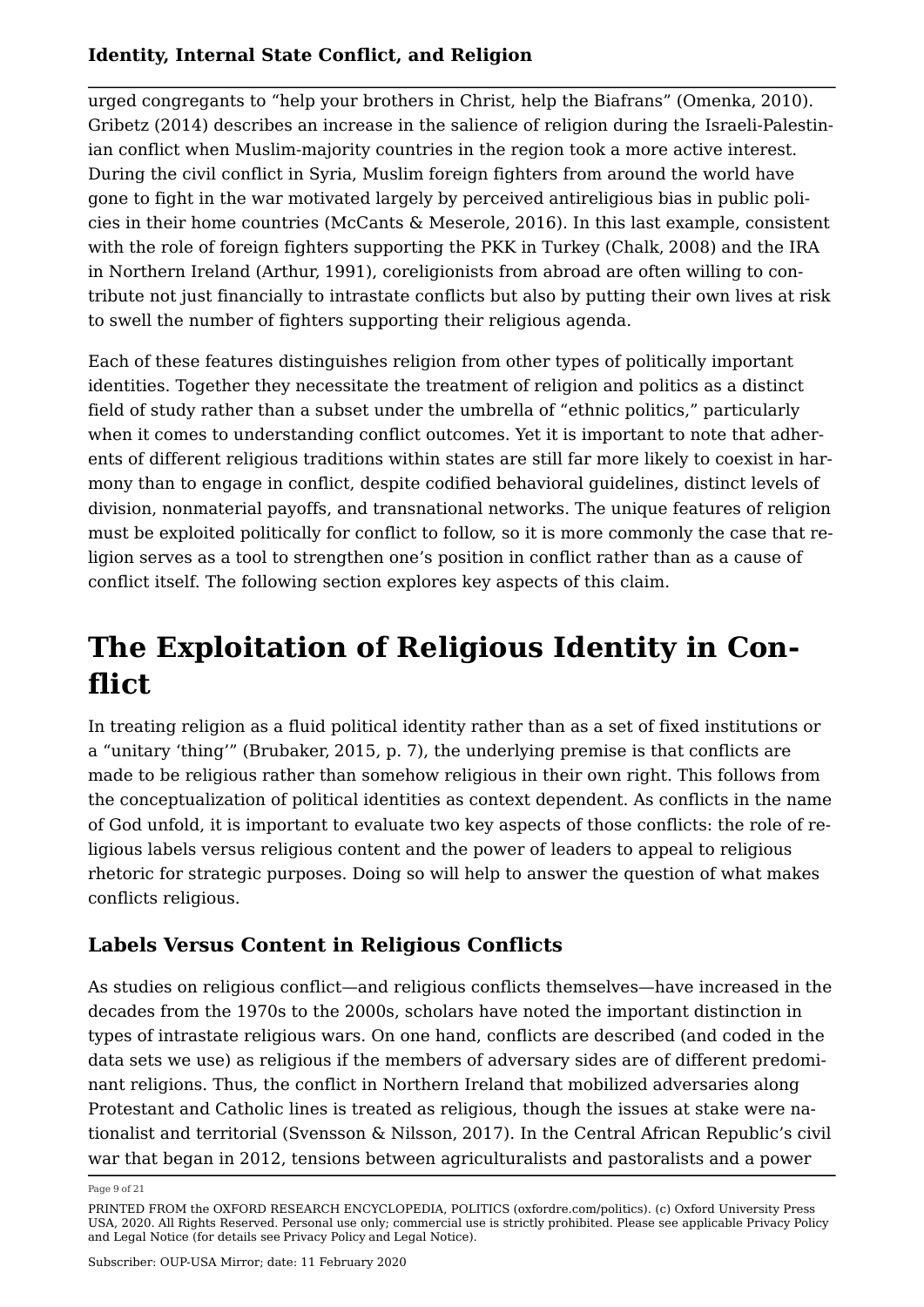urged congregants to "help your brothers in Christ, help the Biafrans" (Omenka, 2010). Gribetz (2014) describes an increase in the salience of religion during the Israeli-Palestinian conflict when Muslim-majority countries in the region took a more active interest. During the civil conflict in Syria, Muslim foreign fighters from around the world have gone to fight in the war motivated largely by perceived antireligious bias in public policies in their home countries (McCants & Meserole, 2016). In this last example, consistent with the role of foreign fighters supporting the PKK in Turkey (Chalk, 2008) and the IRA in Northern Ireland (Arthur, 1991), coreligionists from abroad are often willing to contribute not just financially to intrastate conflicts but also by putting their own lives at risk to swell the number of fighters supporting their religious agenda.

Each of these features distinguishes religion from other types of politically important identities. Together they necessitate the treatment of religion and politics as a distinct field of study rather than a subset under the umbrella of "ethnic politics," particularly when it comes to understanding conflict outcomes. Yet it is important to note that adherents of different religious traditions within states are still far more likely to coexist in harmony than to engage in conflict, despite codified behavioral guidelines, distinct levels of division, nonmaterial payoffs, and transnational networks. The unique features of religion must be exploited politically for conflict to follow, so it is more commonly the case that religion serves as a tool to strengthen one's position in conflict rather than as a cause of conflict itself. The following section explores key aspects of this claim.

# **The Exploitation of Religious Identity in Conflict**

In treating religion as a fluid political identity rather than as a set of fixed institutions or a "unitary 'thing'" (Brubaker, 2015, p. 7), the underlying premise is that conflicts are made to be religious rather than somehow religious in their own right. This follows from the conceptualization of political identities as context dependent. As conflicts in the name of God unfold, it is important to evaluate two key aspects of those conflicts: the role of religious labels versus religious content and the power of leaders to appeal to religious rhetoric for strategic purposes. Doing so will help to answer the question of what makes conflicts religious.

## **Labels Versus Content in Religious Conflicts**

As studies on religious conflict—and religious conflicts themselves—have increased in the decades from the 1970s to the 2000s, scholars have noted the important distinction in types of intrastate religious wars. On one hand, conflicts are described (and coded in the data sets we use) as religious if the members of adversary sides are of different predominant religions. Thus, the conflict in Northern Ireland that mobilized adversaries along Protestant and Catholic lines is treated as religious, though the issues at stake were nationalist and territorial (Svensson & Nilsson, 2017). In the Central African Republic's civil war that began in 2012, tensions between agriculturalists and pastoralists and a power

Page 9 of 21

PRINTED FROM the OXFORD RESEARCH ENCYCLOPEDIA, POLITICS (oxfordre.com/politics). (c) Oxford University Press USA, 2020. All Rights Reserved. Personal use only; commercial use is strictly prohibited. Please see applicable Privacy Policy and Legal Notice (for details see Privacy Policy and Legal Notice).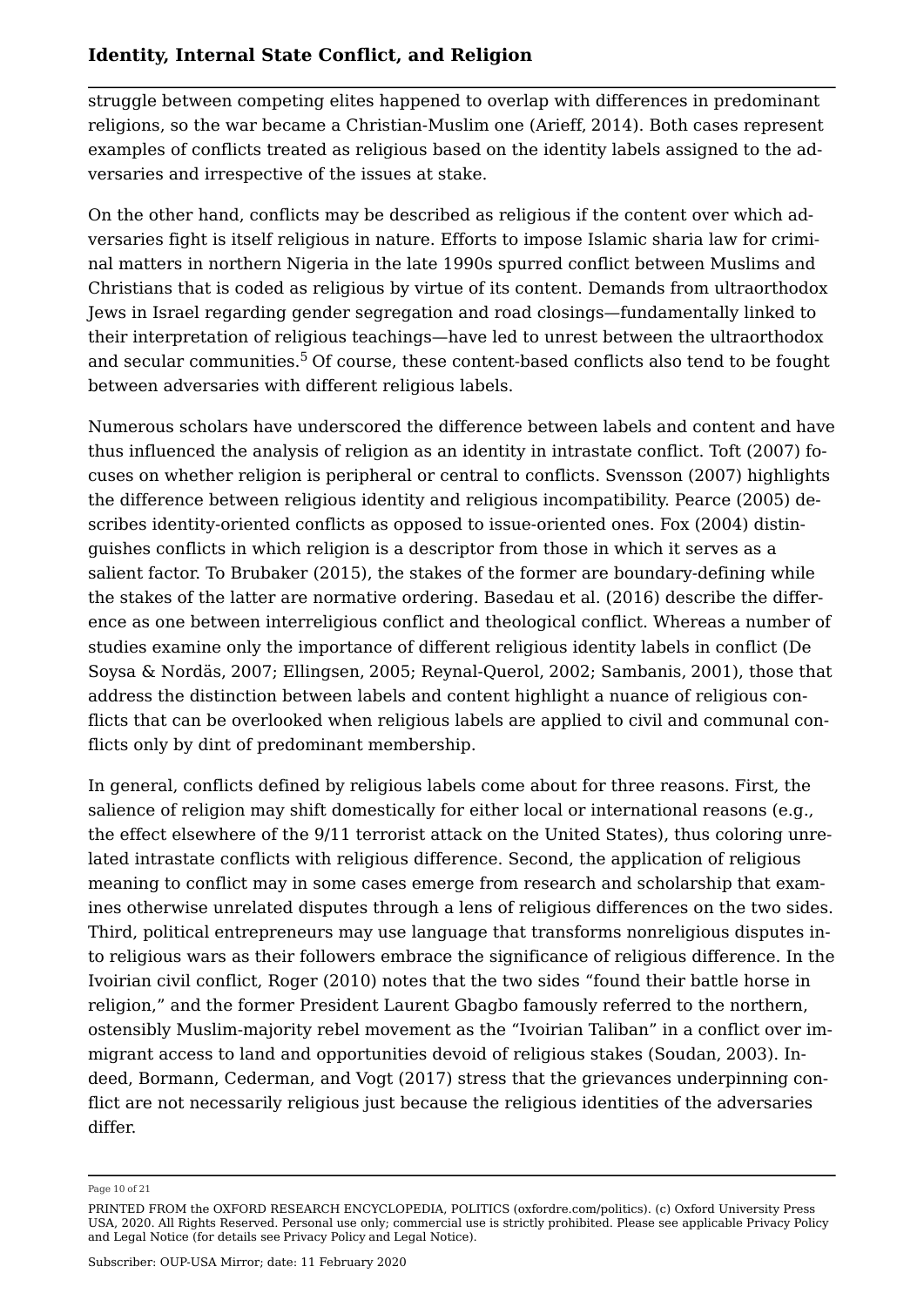struggle between competing elites happened to overlap with differences in predominant religions, so the war became a Christian-Muslim one (Arieff, 2014). Both cases represent examples of conflicts treated as religious based on the identity labels assigned to the adversaries and irrespective of the issues at stake.

On the other hand, conflicts may be described as religious if the content over which adversaries fight is itself religious in nature. Efforts to impose Islamic sharia law for criminal matters in northern Nigeria in the late 1990s spurred conflict between Muslims and Christians that is coded as religious by virtue of its content. Demands from ultraorthodox Jews in Israel regarding gender segregation and road closings—fundamentally linked to their interpretation of religious teachings—have led to unrest between the ultraorthodox and secular communities.<sup>5</sup> Of course, these content-based conflicts also tend to be fought between adversaries with different religious labels.

Numerous scholars have underscored the difference between labels and content and have thus influenced the analysis of religion as an identity in intrastate conflict. Toft (2007) focuses on whether religion is peripheral or central to conflicts. Svensson (2007) highlights the difference between religious identity and religious incompatibility. Pearce (2005) describes identity-oriented conflicts as opposed to issue-oriented ones. Fox (2004) distinguishes conflicts in which religion is a descriptor from those in which it serves as a salient factor. To Brubaker (2015), the stakes of the former are boundary-defining while the stakes of the latter are normative ordering. Basedau et al. (2016) describe the difference as one between interreligious conflict and theological conflict. Whereas a number of studies examine only the importance of different religious identity labels in conflict (De Soysa & Nordäs, 2007; Ellingsen, 2005; Reynal-Querol, 2002; Sambanis, 2001), those that address the distinction between labels and content highlight a nuance of religious conflicts that can be overlooked when religious labels are applied to civil and communal conflicts only by dint of predominant membership.

In general, conflicts defined by religious labels come about for three reasons. First, the salience of religion may shift domestically for either local or international reasons (e.g., the effect elsewhere of the 9/11 terrorist attack on the United States), thus coloring unrelated intrastate conflicts with religious difference. Second, the application of religious meaning to conflict may in some cases emerge from research and scholarship that examines otherwise unrelated disputes through a lens of religious differences on the two sides. Third, political entrepreneurs may use language that transforms nonreligious disputes into religious wars as their followers embrace the significance of religious difference. In the Ivoirian civil conflict, Roger (2010) notes that the two sides "found their battle horse in religion," and the former President Laurent Gbagbo famously referred to the northern, ostensibly Muslim-majority rebel movement as the "Ivoirian Taliban" in a conflict over immigrant access to land and opportunities devoid of religious stakes (Soudan, 2003). Indeed, Bormann, Cederman, and Vogt (2017) stress that the grievances underpinning conflict are not necessarily religious just because the religious identities of the adversaries differ.

Page 10 of 21

PRINTED FROM the OXFORD RESEARCH ENCYCLOPEDIA, POLITICS (oxfordre.com/politics). (c) Oxford University Press USA, 2020. All Rights Reserved. Personal use only; commercial use is strictly prohibited. Please see applicable Privacy Policy and Legal Notice (for details see Privacy Policy and Legal Notice).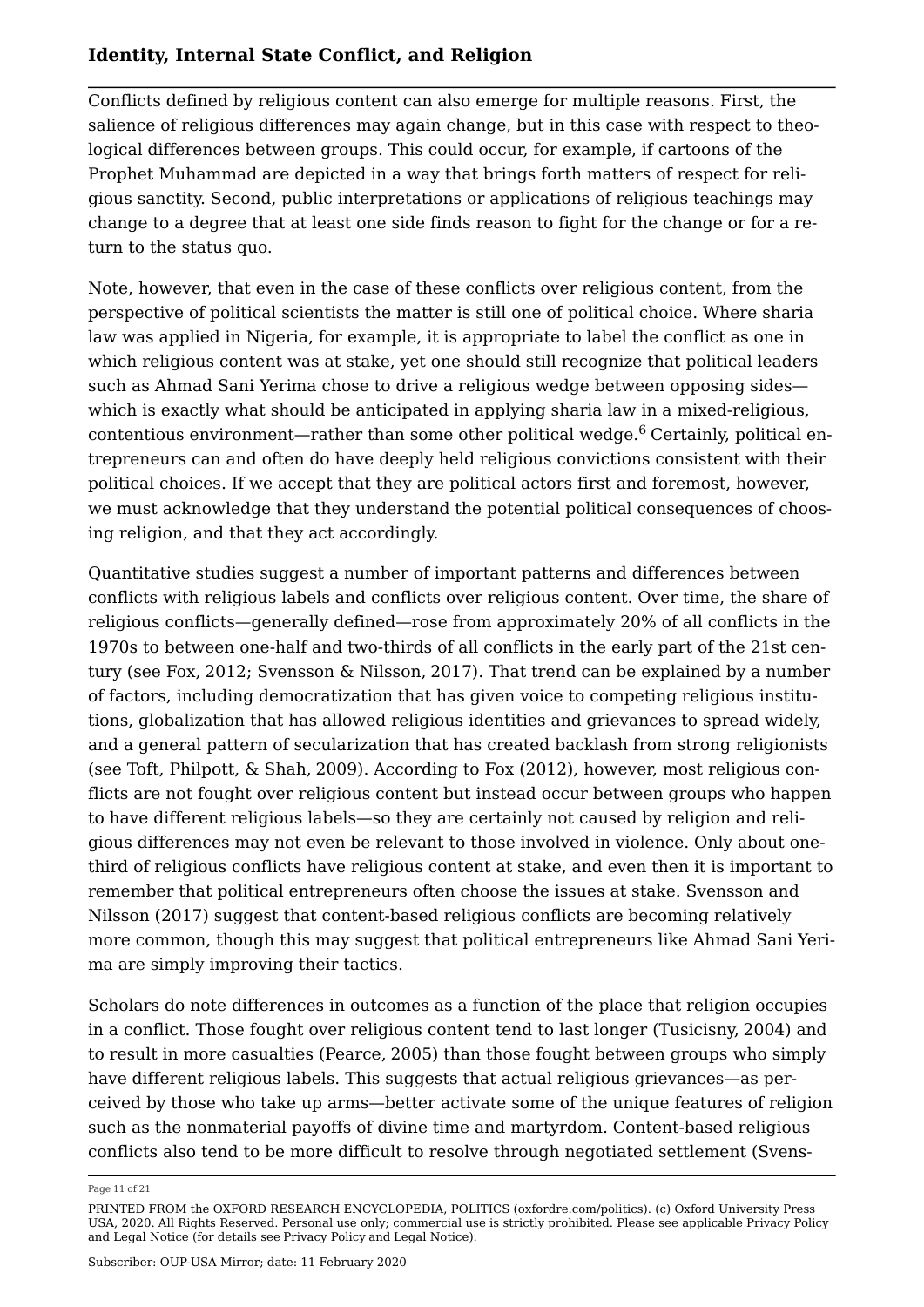Conflicts defined by religious content can also emerge for multiple reasons. First, the salience of religious differences may again change, but in this case with respect to theological differences between groups. This could occur, for example, if cartoons of the Prophet Muhammad are depicted in a way that brings forth matters of respect for religious sanctity. Second, public interpretations or applications of religious teachings may change to a degree that at least one side finds reason to fight for the change or for a return to the status quo.

Note, however, that even in the case of these conflicts over religious content, from the perspective of political scientists the matter is still one of political choice. Where sharia law was applied in Nigeria, for example, it is appropriate to label the conflict as one in which religious content was at stake, yet one should still recognize that political leaders such as Ahmad Sani Yerima chose to drive a religious wedge between opposing sides which is exactly what should be anticipated in applying sharia law in a mixed-religious, contentious environment—rather than some other political wedge.<sup>6</sup> Certainly, political entrepreneurs can and often do have deeply held religious convictions consistent with their political choices. If we accept that they are political actors first and foremost, however, we must acknowledge that they understand the potential political consequences of choosing religion, and that they act accordingly.

Quantitative studies suggest a number of important patterns and differences between conflicts with religious labels and conflicts over religious content. Over time, the share of religious conflicts—generally defined—rose from approximately 20% of all conflicts in the 1970s to between one-half and two-thirds of all conflicts in the early part of the 21st century (see Fox, 2012; Svensson & Nilsson, 2017). That trend can be explained by a number of factors, including democratization that has given voice to competing religious institutions, globalization that has allowed religious identities and grievances to spread widely, and a general pattern of secularization that has created backlash from strong religionists (see Toft, Philpott, & Shah, 2009). According to Fox (2012), however, most religious conflicts are not fought over religious content but instead occur between groups who happen to have different religious labels—so they are certainly not caused by religion and religious differences may not even be relevant to those involved in violence. Only about onethird of religious conflicts have religious content at stake, and even then it is important to remember that political entrepreneurs often choose the issues at stake. Svensson and Nilsson (2017) suggest that content-based religious conflicts are becoming relatively more common, though this may suggest that political entrepreneurs like Ahmad Sani Yerima are simply improving their tactics.

Scholars do note differences in outcomes as a function of the place that religion occupies in a conflict. Those fought over religious content tend to last longer (Tusicisny, 2004) and to result in more casualties (Pearce, 2005) than those fought between groups who simply have different religious labels. This suggests that actual religious grievances—as perceived by those who take up arms—better activate some of the unique features of religion such as the nonmaterial payoffs of divine time and martyrdom. Content-based religious conflicts also tend to be more difficult to resolve through negotiated settlement (Svens

Page 11 of 21

PRINTED FROM the OXFORD RESEARCH ENCYCLOPEDIA, POLITICS (oxfordre.com/politics). (c) Oxford University Press USA, 2020. All Rights Reserved. Personal use only; commercial use is strictly prohibited. Please see applicable Privacy Policy and Legal Notice (for details see Privacy Policy and Legal Notice).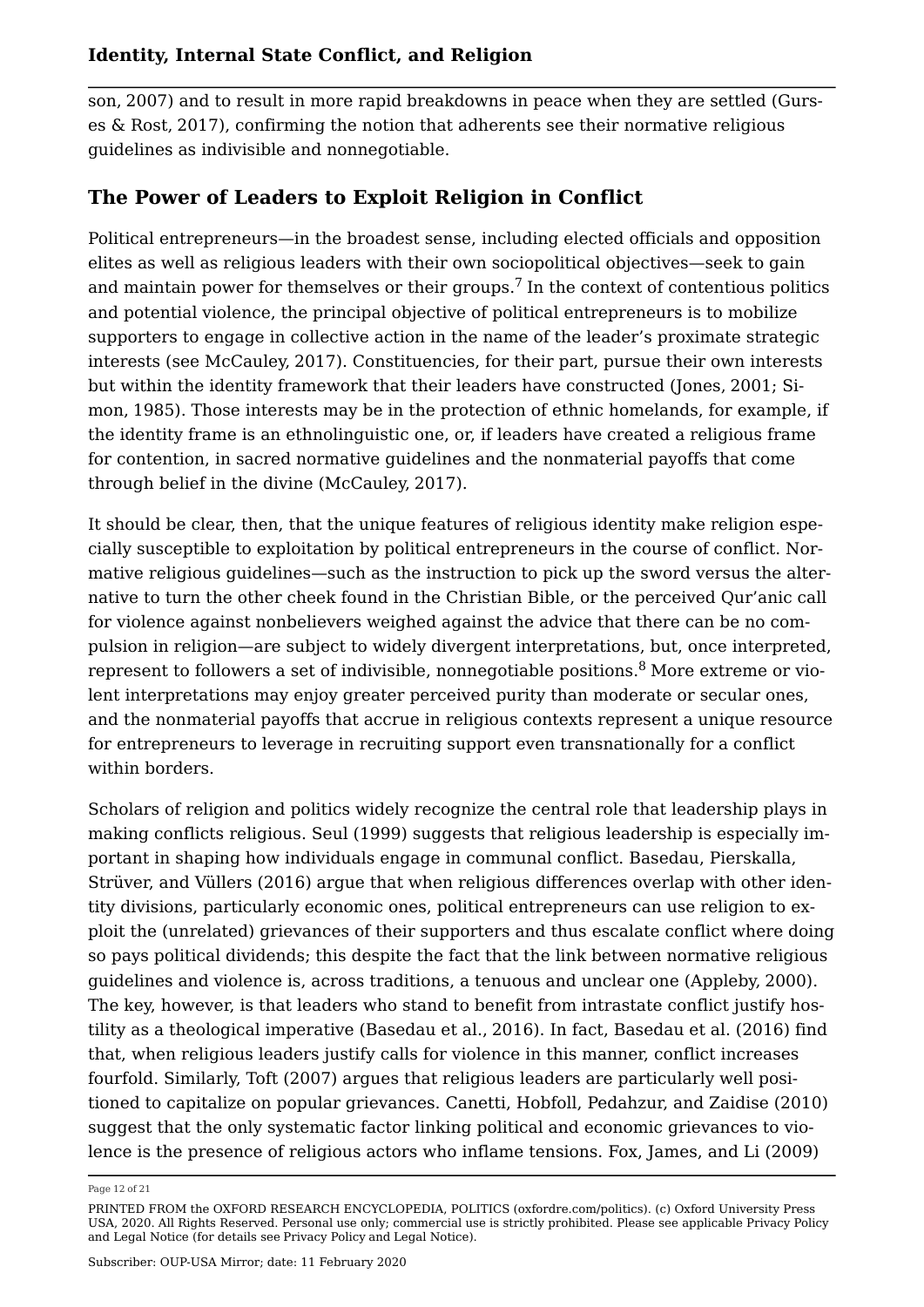son, 2007) and to result in more rapid breakdowns in peace when they are settled (Gurses & Rost, 2017), confirming the notion that adherents see their normative religious guidelines as indivisible and nonnegotiable.

### **The Power of Leaders to Exploit Religion in Conflict**

Political entrepreneurs—in the broadest sense, including elected officials and opposition elites as well as religious leaders with their own sociopolitical objectives—seek to gain and maintain power for themselves or their groups.<sup>7</sup> In the context of contentious politics and potential violence, the principal objective of political entrepreneurs is to mobilize supporters to engage in collective action in the name of the leader's proximate strategic interests (see McCauley, 2017). Constituencies, for their part, pursue their own interests but within the identity framework that their leaders have constructed (Jones, 2001; Simon, 1985). Those interests may be in the protection of ethnic homelands, for example, if the identity frame is an ethnolinguistic one, or, if leaders have created a religious frame for contention, in sacred normative guidelines and the nonmaterial payoffs that come through belief in the divine (McCauley, 2017).

It should be clear, then, that the unique features of religious identity make religion especially susceptible to exploitation by political entrepreneurs in the course of conflict. Normative religious guidelines—such as the instruction to pick up the sword versus the alternative to turn the other cheek found in the Christian Bible, or the perceived Qur'anic call for violence against nonbelievers weighed against the advice that there can be no compulsion in religion—are subject to widely divergent interpretations, but, once interpreted, represent to followers a set of indivisible, nonnegotiable positions.<sup>8</sup> More extreme or violent interpretations may enjoy greater perceived purity than moderate or secular ones, and the nonmaterial payoffs that accrue in religious contexts represent a unique resource for entrepreneurs to leverage in recruiting support even transnationally for a conflict within borders.

Scholars of religion and politics widely recognize the central role that leadership plays in making conflicts religious. Seul (1999) suggests that religious leadership is especially important in shaping how individuals engage in communal conflict. Basedau, Pierskalla, Strüver, and Vüllers (2016) argue that when religious differences overlap with other identity divisions, particularly economic ones, political entrepreneurs can use religion to exploit the (unrelated) grievances of their supporters and thus escalate conflict where doing so pays political dividends; this despite the fact that the link between normative religious guidelines and violence is, across traditions, a tenuous and unclear one (Appleby, 2000). The key, however, is that leaders who stand to benefit from intrastate conflict justify hostility as a theological imperative (Basedau et al., 2016). In fact, Basedau et al. (2016) find that, when religious leaders justify calls for violence in this manner, conflict increases fourfold. Similarly, Toft (2007) argues that religious leaders are particularly well positioned to capitalize on popular grievances. Canetti, Hobfoll, Pedahzur, and Zaidise (2010) suggest that the only systematic factor linking political and economic grievances to violence is the presence of religious actors who inflame tensions. Fox, James, and Li (2009)

Page 12 of 21

PRINTED FROM the OXFORD RESEARCH ENCYCLOPEDIA, POLITICS (oxfordre.com/politics). (c) Oxford University Press USA, 2020. All Rights Reserved. Personal use only; commercial use is strictly prohibited. Please see applicable Privacy Policy and Legal Notice (for details see Privacy Policy and Legal Notice).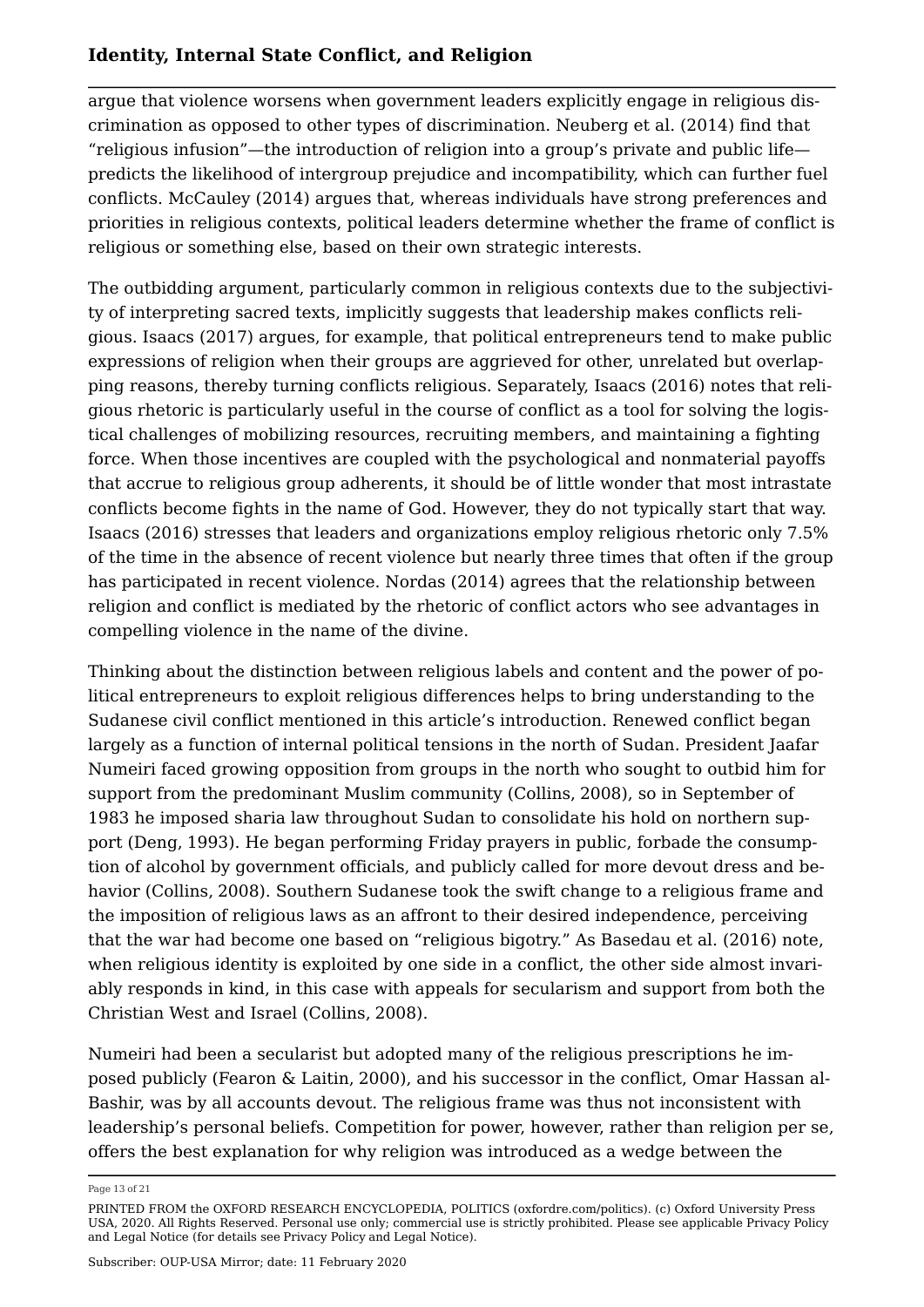argue that violence worsens when government leaders explicitly engage in religious discrimination as opposed to other types of discrimination. Neuberg et al. (2014) find that "religious infusion"—the introduction of religion into a group's private and public life predicts the likelihood of intergroup prejudice and incompatibility, which can further fuel conflicts. McCauley (2014) argues that, whereas individuals have strong preferences and priorities in religious contexts, political leaders determine whether the frame of conflict is religious or something else, based on their own strategic interests.

The outbidding argument, particularly common in religious contexts due to the subjectivity of interpreting sacred texts, implicitly suggests that leadership makes conflicts religious. Isaacs (2017) argues, for example, that political entrepreneurs tend to make public expressions of religion when their groups are aggrieved for other, unrelated but overlapping reasons, thereby turning conflicts religious. Separately, Isaacs (2016) notes that religious rhetoric is particularly useful in the course of conflict as a tool for solving the logistical challenges of mobilizing resources, recruiting members, and maintaining a fighting force. When those incentives are coupled with the psychological and nonmaterial payoffs that accrue to religious group adherents, it should be of little wonder that most intrastate conflicts become fights in the name of God. However, they do not typically start that way. Isaacs (2016) stresses that leaders and organizations employ religious rhetoric only 7.5% of the time in the absence of recent violence but nearly three times that often if the group has participated in recent violence. Nordas (2014) agrees that the relationship between religion and conflict is mediated by the rhetoric of conflict actors who see advantages in compelling violence in the name of the divine.

Thinking about the distinction between religious labels and content and the power of political entrepreneurs to exploit religious differences helps to bring understanding to the Sudanese civil conflict mentioned in this article's introduction. Renewed conflict began largely as a function of internal political tensions in the north of Sudan. President Jaafar Numeiri faced growing opposition from groups in the north who sought to outbid him for support from the predominant Muslim community (Collins, 2008), so in September of 1983 he imposed sharia law throughout Sudan to consolidate his hold on northern support (Deng, 1993). He began performing Friday prayers in public, forbade the consumption of alcohol by government officials, and publicly called for more devout dress and behavior (Collins, 2008). Southern Sudanese took the swift change to a religious frame and the imposition of religious laws as an affront to their desired independence, perceiving that the war had become one based on "religious bigotry." As Basedau et al. (2016) note, when religious identity is exploited by one side in a conflict, the other side almost invariably responds in kind, in this case with appeals for secularism and support from both the Christian West and Israel (Collins, 2008).

Numeiri had been a secularist but adopted many of the religious prescriptions he imposed publicly (Fearon & Laitin, 2000), and his successor in the conflict, Omar Hassan al-Bashir, was by all accounts devout. The religious frame was thus not inconsistent with leadership's personal beliefs. Competition for power, however, rather than religion per se, offers the best explanation for why religion was introduced as a wedge between the

Page 13 of 21

PRINTED FROM the OXFORD RESEARCH ENCYCLOPEDIA, POLITICS (oxfordre.com/politics). (c) Oxford University Press USA, 2020. All Rights Reserved. Personal use only; commercial use is strictly prohibited. Please see applicable Privacy Policy and Legal Notice (for details see Privacy Policy and Legal Notice).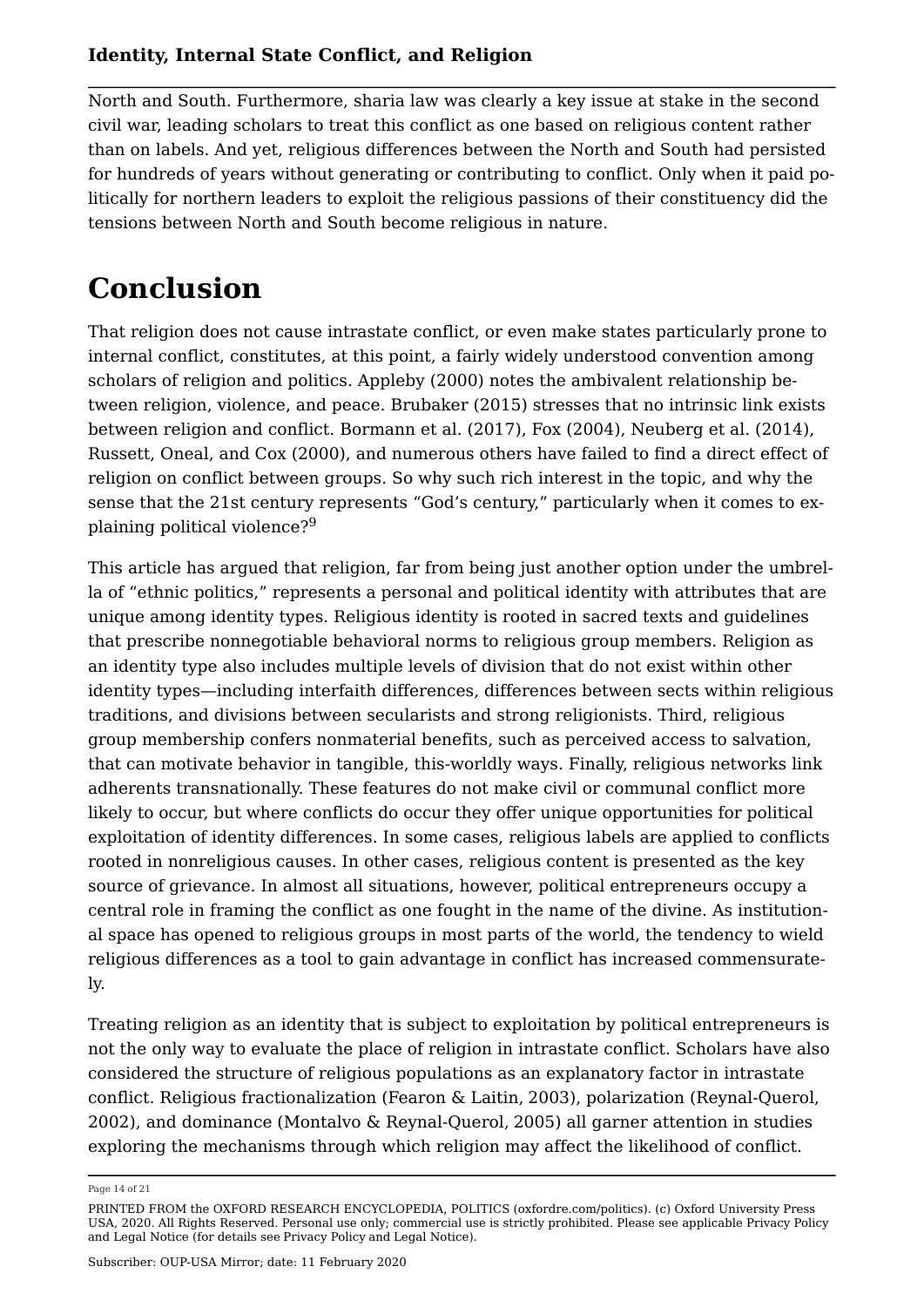North and South. Furthermore, sharia law was clearly a key issue at stake in the second civil war, leading scholars to treat this conflict as one based on religious content rather than on labels. And yet, religious differences between the North and South had persisted for hundreds of years without generating or contributing to conflict. Only when it paid politically for northern leaders to exploit the religious passions of their constituency did the tensions between North and South become religious in nature.

## **Conclusion**

That religion does not cause intrastate conflict, or even make states particularly prone to internal conflict, constitutes, at this point, a fairly widely understood convention among scholars of religion and politics. Appleby (2000) notes the ambivalent relationship between religion, violence, and peace. Brubaker (2015) stresses that no intrinsic link exists between religion and conflict. Bormann et al. (2017), Fox (2004), Neuberg et al. (2014), Russett, Oneal, and Cox (2000), and numerous others have failed to find a direct effect of religion on conflict between groups. So why such rich interest in the topic, and why the sense that the 21st century represents "God's century," particularly when it comes to explaining political violence?<sup>9</sup>

This article has argued that religion, far from being just another option under the umbrella of "ethnic politics," represents a personal and political identity with attributes that are unique among identity types. Religious identity is rooted in sacred texts and guidelines that prescribe nonnegotiable behavioral norms to religious group members. Religion as an identity type also includes multiple levels of division that do not exist within other identity types—including interfaith differences, differences between sects within religious traditions, and divisions between secularists and strong religionists. Third, religious group membership confers nonmaterial benefits, such as perceived access to salvation, that can motivate behavior in tangible, this-worldly ways. Finally, religious networks link adherents transnationally. These features do not make civil or communal conflict more likely to occur, but where conflicts do occur they offer unique opportunities for political exploitation of identity differences. In some cases, religious labels are applied to conflicts rooted in nonreligious causes. In other cases, religious content is presented as the key source of grievance. In almost all situations, however, political entrepreneurs occupy a central role in framing the conflict as one fought in the name of the divine. As institutional space has opened to religious groups in most parts of the world, the tendency to wield religious differences as a tool to gain advantage in conflict has increased commensurately.

Treating religion as an identity that is subject to exploitation by political entrepreneurs is not the only way to evaluate the place of religion in intrastate conflict. Scholars have also considered the structure of religious populations as an explanatory factor in intrastate conflict. Religious fractionalization (Fearon & Laitin, 2003), polarization (Reynal-Querol, 2002), and dominance (Montalvo & Reynal-Querol, 2005) all garner attention in studies exploring the mechanisms through which religion may affect the likelihood of conflict.

Page 14 of 21

PRINTED FROM the OXFORD RESEARCH ENCYCLOPEDIA, POLITICS (oxfordre.com/politics). (c) Oxford University Press USA, 2020. All Rights Reserved. Personal use only; commercial use is strictly prohibited. Please see applicable Privacy Policy and Legal Notice (for details see Privacy Policy and Legal Notice).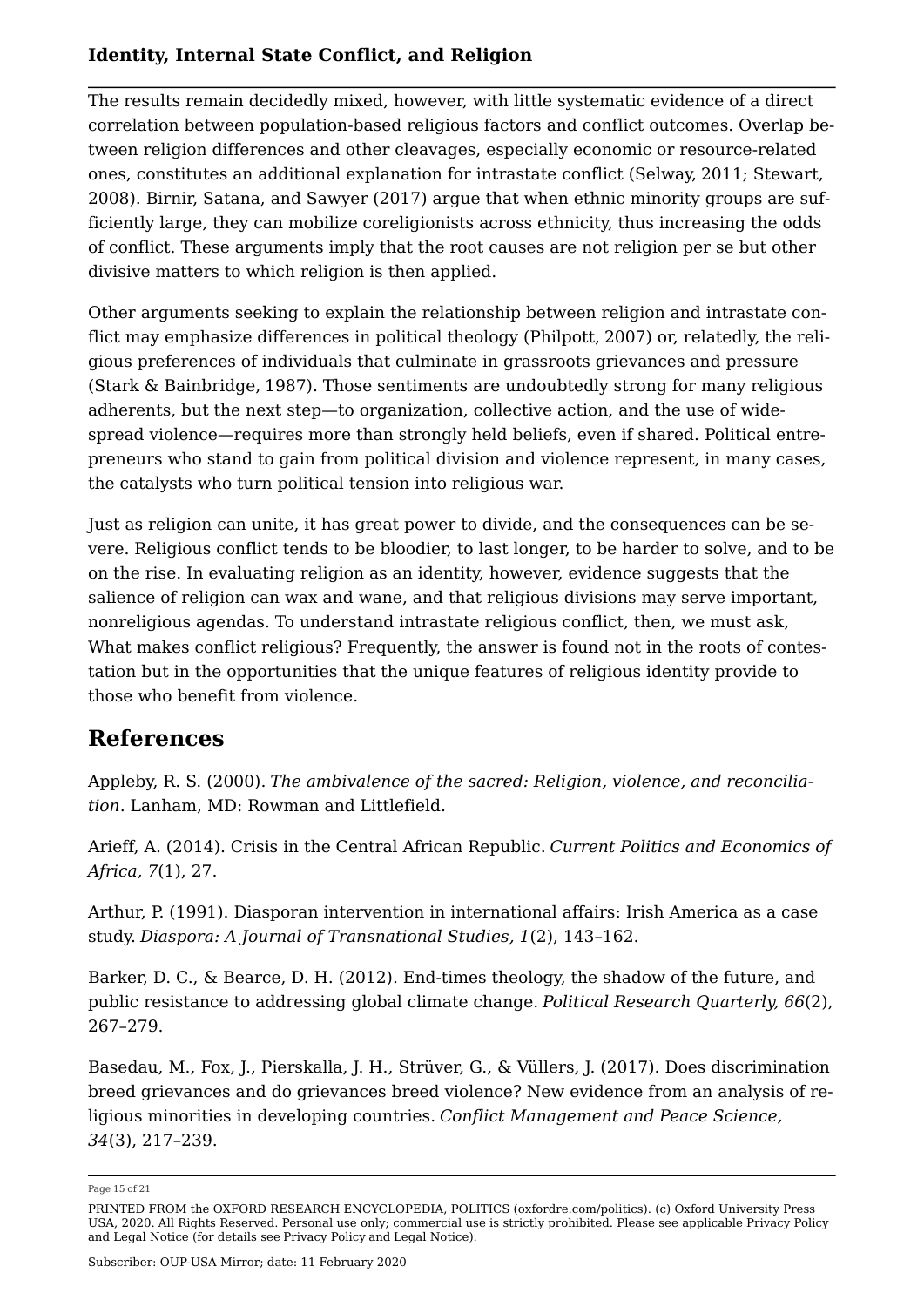The results remain decidedly mixed, however, with little systematic evidence of a direct correlation between population-based religious factors and conflict outcomes. Overlap between religion differences and other cleavages, especially economic or resource-related ones, constitutes an additional explanation for intrastate conflict (Selway, 2011; Stewart, 2008). Birnir, Satana, and Sawyer (2017) argue that when ethnic minority groups are sufficiently large, they can mobilize coreligionists across ethnicity, thus increasing the odds of conflict. These arguments imply that the root causes are not religion per se but other divisive matters to which religion is then applied.

Other arguments seeking to explain the relationship between religion and intrastate conflict may emphasize differences in political theology (Philpott, 2007) or, relatedly, the religious preferences of individuals that culminate in grassroots grievances and pressure (Stark & Bainbridge, 1987). Those sentiments are undoubtedly strong for many religious adherents, but the next step—to organization, collective action, and the use of widespread violence—requires more than strongly held beliefs, even if shared. Political entrepreneurs who stand to gain from political division and violence represent, in many cases, the catalysts who turn political tension into religious war.

Just as religion can unite, it has great power to divide, and the consequences can be severe. Religious conflict tends to be bloodier, to last longer, to be harder to solve, and to be on the rise. In evaluating religion as an identity, however, evidence suggests that the salience of religion can wax and wane, and that religious divisions may serve important, nonreligious agendas. To understand intrastate religious conflict, then, we must ask, What makes conflict religious? Frequently, the answer is found not in the roots of contestation but in the opportunities that the unique features of religious identity provide to those who benefit from violence.

## **References**

Appleby, R. S. (2000). *The ambivalence of the sacred: Religion, violence, and reconciliation*. Lanham, MD: Rowman and Littlefield.

Arieff, A. (2014). Crisis in the Central African Republic. *Current Politics and Economics of Africa, 7*(1), 27.

Arthur, P. (1991). Diasporan intervention in international affairs: Irish America as a case study. *Diaspora: A Journal of Transnational Studies, 1*(2), 143–162.

Barker, D. C., & Bearce, D. H. (2012). End-times theology, the shadow of the future, and public resistance to addressing global climate change. *Political Research Quarterly, 66*(2), 267–279.

Basedau, M., Fox, J., Pierskalla, J. H., Strüver, G., & Vüllers, J. (2017). Does discrimination breed grievances and do grievances breed violence? New evidence from an analysis of religious minorities in developing countries. *Conflict Management and Peace Science, 34*(3), 217–239.

Page 15 of 21

PRINTED FROM the OXFORD RESEARCH ENCYCLOPEDIA, POLITICS (oxfordre.com/politics). (c) Oxford University Press USA, 2020. All Rights Reserved. Personal use only; commercial use is strictly prohibited. Please see applicable Privacy Policy and Legal Notice (for details see Privacy Policy and Legal Notice).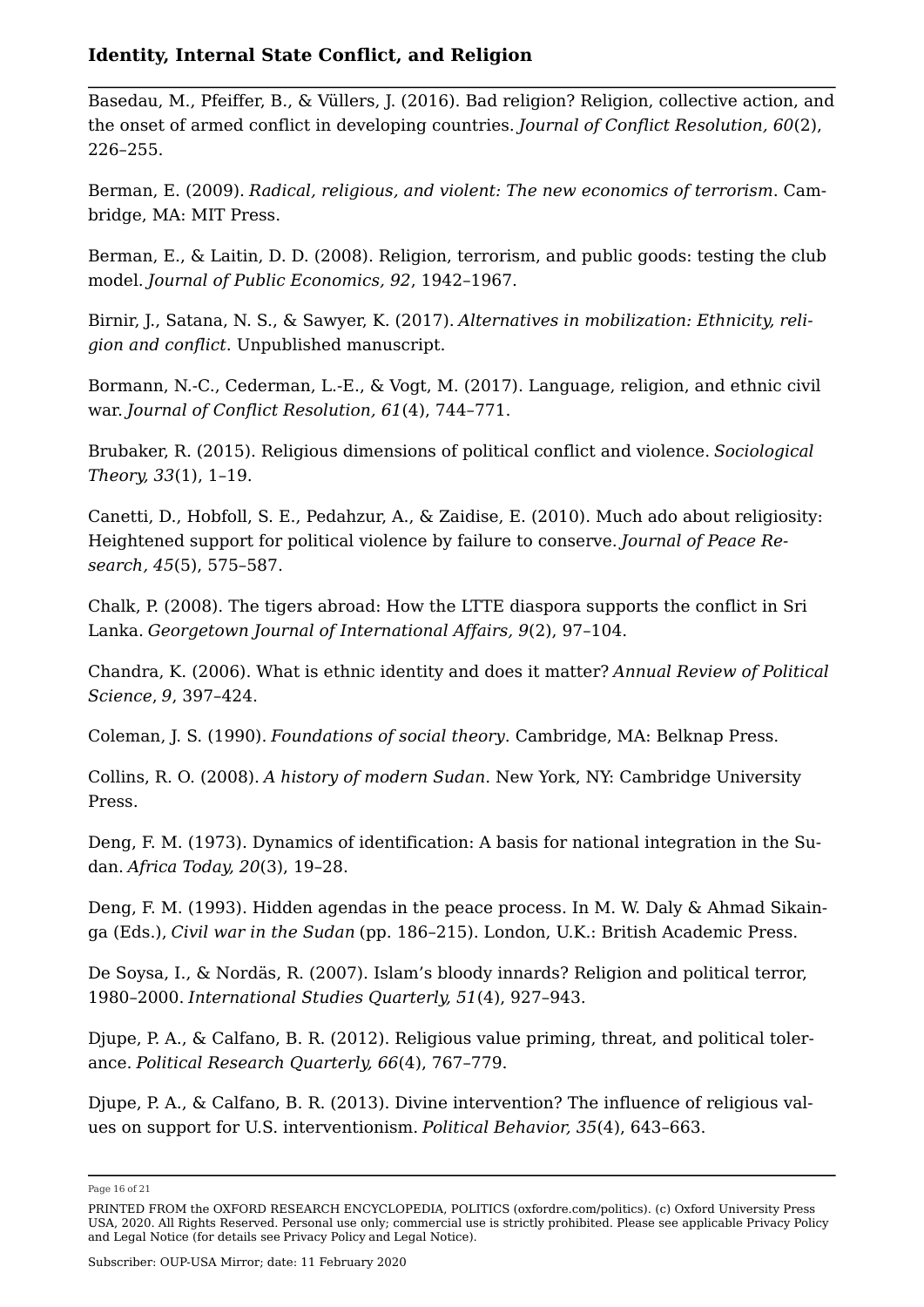Basedau, M., Pfeiffer, B., & Vüllers, J. (2016). Bad religion? Religion, collective action, and the onset of armed conflict in developing countries. *Journal of Conflict Resolution, 60*(2), 226–255.

Berman, E. (2009). *Radical, religious, and violent: The new economics of terrorism*. Cambridge, MA: MIT Press.

Berman, E., & Laitin, D. D. (2008). Religion, terrorism, and public goods: testing the club model. *Journal of Public Economics, 92*, 1942–1967.

Birnir, J., Satana, N. S., & Sawyer, K. (2017). *Alternatives in mobilization: Ethnicity, religion and conflict*. Unpublished manuscript.

Bormann, N.-C., Cederman, L.-E., & Vogt, M. (2017). Language, religion, and ethnic civil war. *Journal of Conflict Resolution, 61*(4), 744–771.

Brubaker, R. (2015). Religious dimensions of political conflict and violence. *Sociological Theory, 33*(1), 1–19.

Canetti, D., Hobfoll, S. E., Pedahzur, A., & Zaidise, E. (2010). Much ado about religiosity: Heightened support for political violence by failure to conserve. *Journal of Peace Research, 45*(5), 575–587.

Chalk, P. (2008). The tigers abroad: How the LTTE diaspora supports the conflict in Sri Lanka. *Georgetown Journal of International Affairs, 9*(2), 97–104.

Chandra, K. (2006). What is ethnic identity and does it matter? *Annual Review of Political Science*, *9*, 397–424.

Coleman, J. S. (1990). *Foundations of social theory*. Cambridge, MA: Belknap Press.

Collins, R. O. (2008). *A history of modern Sudan*. New York, NY: Cambridge University Press.

Deng, F. M. (1973). Dynamics of identification: A basis for national integration in the Sudan. *Africa Today, 20*(3), 19–28.

Deng, F. M. (1993). Hidden agendas in the peace process. In M. W. Daly & Ahmad Sikainga (Eds.), *Civil war in the Sudan* (pp. 186–215). London, U.K.: British Academic Press.

De Soysa, I., & Nordäs, R. (2007). Islam's bloody innards? Religion and political terror, 1980–2000. *International Studies Quarterly, 51*(4), 927–943.

Djupe, P. A., & Calfano, B. R. (2012). Religious value priming, threat, and political tolerance. *Political Research Quarterly, 66*(4), 767–779.

Djupe, P. A., & Calfano, B. R. (2013). Divine intervention? The influence of religious values on support for U.S. interventionism. *Political Behavior, 35*(4), 643–663.

Page 16 of 21

PRINTED FROM the OXFORD RESEARCH ENCYCLOPEDIA, POLITICS (oxfordre.com/politics). (c) Oxford University Press USA, 2020. All Rights Reserved. Personal use only; commercial use is strictly prohibited. Please see applicable Privacy Policy and Legal Notice (for details see Privacy Policy and Legal Notice).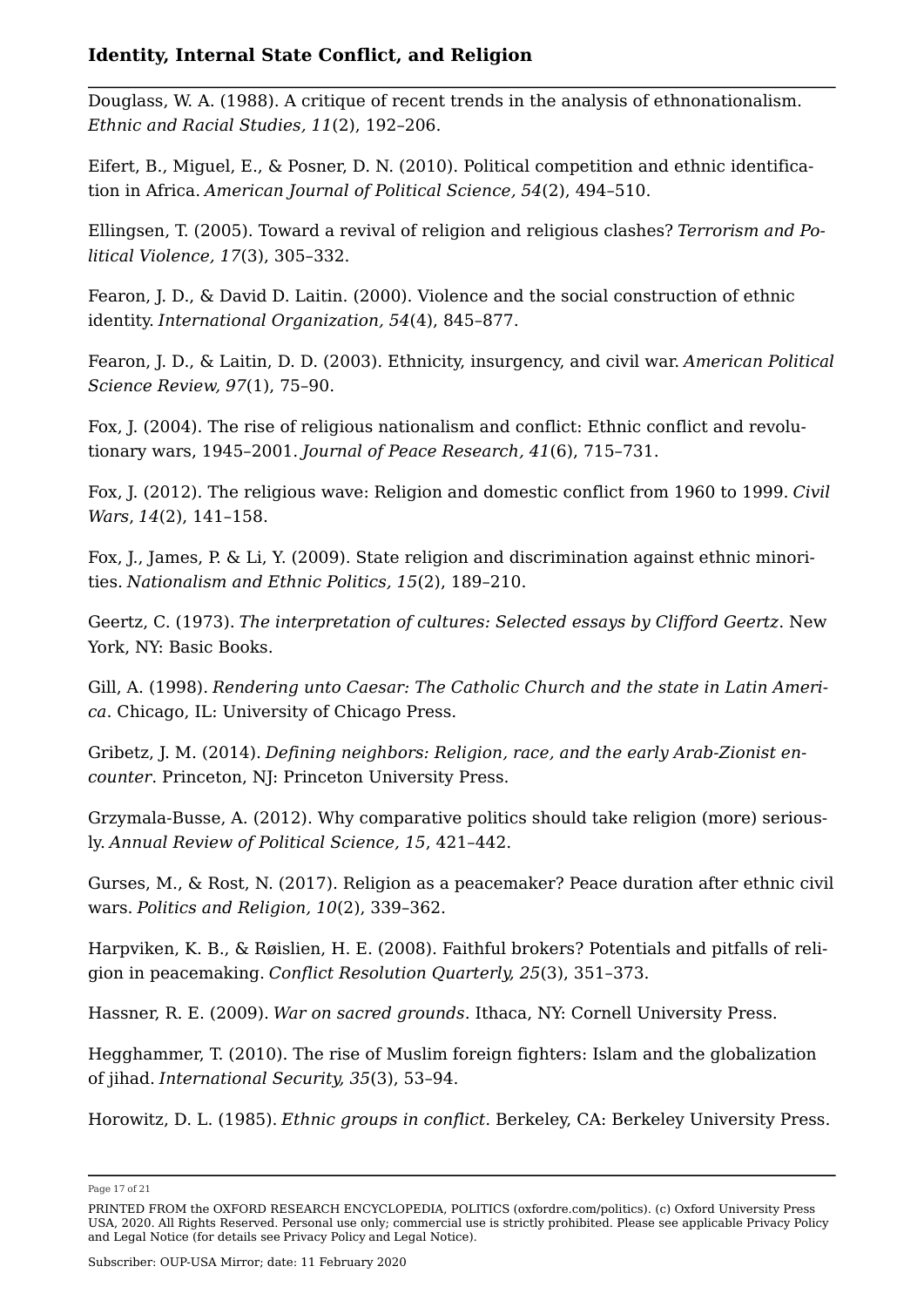Douglass, W. A. (1988). A critique of recent trends in the analysis of ethnonationalism. *Ethnic and Racial Studies, 11*(2), 192–206.

Eifert, B., Miguel, E., & Posner, D. N. (2010). Political competition and ethnic identification in Africa. *American Journal of Political Science, 54*(2), 494–510.

Ellingsen, T. (2005). Toward a revival of religion and religious clashes? *Terrorism and Political Violence, 17*(3), 305–332.

Fearon, J. D., & David D. Laitin. (2000). Violence and the social construction of ethnic identity. *International Organization, 54*(4), 845–877.

Fearon, J. D., & Laitin, D. D. (2003). Ethnicity, insurgency, and civil war. *American Political Science Review, 97*(1), 75–90.

Fox, J. (2004). The rise of religious nationalism and conflict: Ethnic conflict and revolutionary wars, 1945–2001. *Journal of Peace Research, 41*(6), 715–731.

Fox, J. (2012). The religious wave: Religion and domestic conflict from 1960 to 1999. *Civil Wars*, *14*(2), 141–158.

Fox, J., James, P. & Li, Y. (2009). State religion and discrimination against ethnic minorities. *Nationalism and Ethnic Politics, 15*(2), 189–210.

Geertz, C. (1973). *The interpretation of cultures: Selected essays by Clifford Geertz*. New York, NY: Basic Books.

Gill, A. (1998). *Rendering unto Caesar: The Catholic Church and the state in Latin America*. Chicago, IL: University of Chicago Press.

Gribetz, J. M. (2014). *Defining neighbors: Religion, race, and the early Arab-Zionist encounter*. Princeton, NJ: Princeton University Press.

Grzymala-Busse, A. (2012). Why comparative politics should take religion (more) seriously. *Annual Review of Political Science, 15*, 421–442.

Gurses, M., & Rost, N. (2017). Religion as a peacemaker? Peace duration after ethnic civil wars. *Politics and Religion, 10*(2), 339–362.

Harpviken, K. B., & Røislien, H. E. (2008). Faithful brokers? Potentials and pitfalls of religion in peacemaking. *Conflict Resolution Quarterly, 25*(3), 351–373.

Hassner, R. E. (2009). *War on sacred grounds*. Ithaca, NY: Cornell University Press.

Hegghammer, T. (2010). The rise of Muslim foreign fighters: Islam and the globalization of jihad. *International Security, 35*(3), 53–94.

Horowitz, D. L. (1985). *Ethnic groups in conflict*. Berkeley, CA: Berkeley University Press.

Page 17 of 21

PRINTED FROM the OXFORD RESEARCH ENCYCLOPEDIA, POLITICS (oxfordre.com/politics). (c) Oxford University Press USA, 2020. All Rights Reserved. Personal use only; commercial use is strictly prohibited. Please see applicable Privacy Policy and Legal Notice (for details see Privacy Policy and Legal Notice).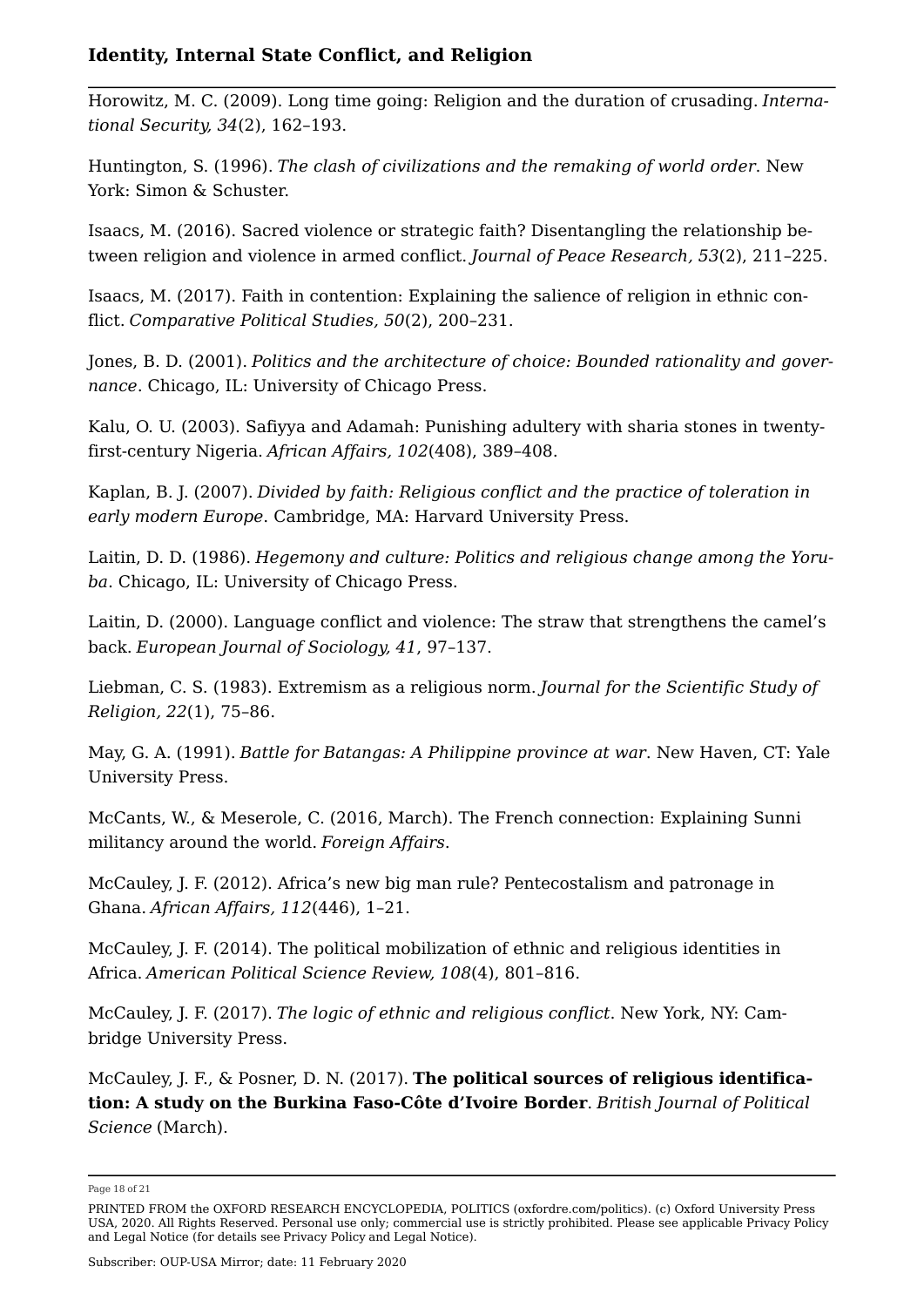Horowitz, M. C. (2009). Long time going: Religion and the duration of crusading. *International Security, 34*(2), 162–193.

Huntington, S. (1996). *The clash of civilizations and the remaking of world order*. New York: Simon & Schuster.

Isaacs, M. (2016). Sacred violence or strategic faith? Disentangling the relationship between religion and violence in armed conflict. *Journal of Peace Research, 53*(2), 211–225.

Isaacs, M. (2017). Faith in contention: Explaining the salience of religion in ethnic conflict. *Comparative Political Studies, 50*(2), 200–231.

Jones, B. D. (2001). *Politics and the architecture of choice: Bounded rationality and governance*. Chicago, IL: University of Chicago Press.

Kalu, O. U. (2003). Safiyya and Adamah: Punishing adultery with sharia stones in twenty‐ first‐century Nigeria. *African Affairs, 102*(408), 389–408.

Kaplan, B. J. (2007). *Divided by faith: Religious conflict and the practice of toleration in early modern Europe*. Cambridge, MA: Harvard University Press.

Laitin, D. D. (1986). *Hegemony and culture: Politics and religious change among the Yoruba*. Chicago, IL: University of Chicago Press.

Laitin, D. (2000). Language conflict and violence: The straw that strengthens the camel's back. *European Journal of Sociology, 41*, 97–137.

Liebman, C. S. (1983). Extremism as a religious norm. *Journal for the Scientific Study of Religion, 22*(1), 75–86.

May, G. A. (1991). *Battle for Batangas: A Philippine province at war*. New Haven, CT: Yale University Press.

McCants, W., & Meserole, C. (2016, March). The French connection: Explaining Sunni militancy around the world. *Foreign Affairs*.

McCauley, J. F. (2012). Africa's new big man rule? Pentecostalism and patronage in Ghana. *African Affairs, 112*(446), 1–21.

McCauley, J. F. (2014). The political mobilization of ethnic and religious identities in Africa. *American Political Science Review, 108*(4), 801–816.

McCauley, J. F. (2017). *The logic of ethnic and religious conflict*. New York, NY: Cambridge University Press.

McCauley, J. F., & Posner, D. N. (2017). **The political sources of religious identification: A study on the Burkina Faso-Côte d'Ivoire Border**. *British Journal of Political Science* (March).

Page 18 of 21

PRINTED FROM the OXFORD RESEARCH ENCYCLOPEDIA, POLITICS (oxfordre.com/politics). (c) Oxford University Press USA, 2020. All Rights Reserved. Personal use only; commercial use is strictly prohibited. Please see applicable Privacy Policy and Legal Notice (for details see Privacy Policy and Legal Notice).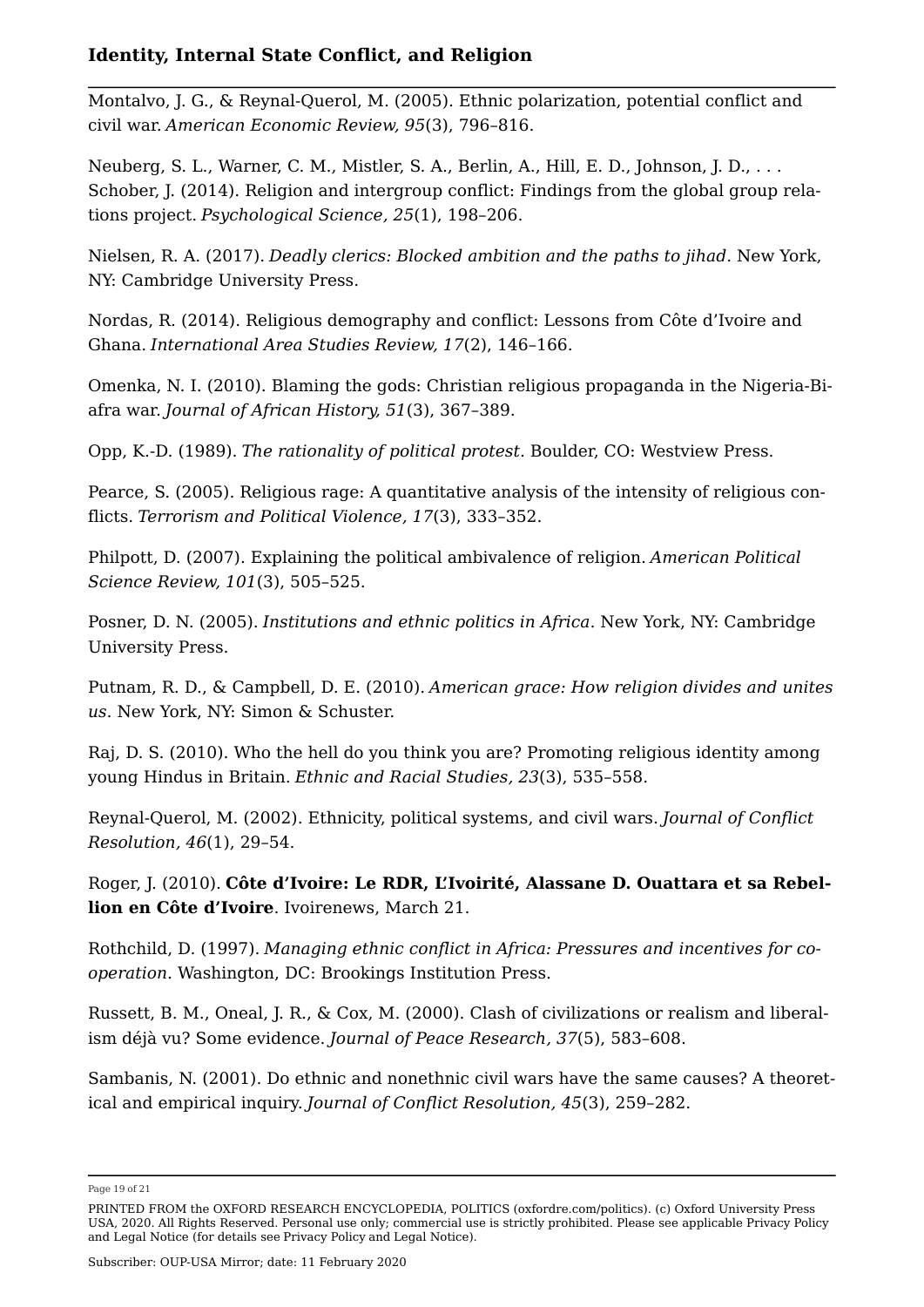Montalvo, J. G., & Reynal-Querol, M. (2005). Ethnic polarization, potential conflict and civil war. *American Economic Review, 95*(3), 796–816.

Neuberg, S. L., Warner, C. M., Mistler, S. A., Berlin, A., Hill, E. D., Johnson, J. D., . . . Schober, J. (2014). Religion and intergroup conflict: Findings from the global group relations project. *Psychological Science, 25*(1), 198–206.

Nielsen, R. A. (2017). *Deadly clerics: Blocked ambition and the paths to jihad*. New York, NY: Cambridge University Press.

Nordas, R. (2014). Religious demography and conflict: Lessons from Côte d'Ivoire and Ghana. *International Area Studies Review, 17*(2), 146–166.

Omenka, N. I. (2010). Blaming the gods: Christian religious propaganda in the Nigeria-Biafra war. *Journal of African History, 51*(3), 367–389.

Opp, K.-D. (1989). *The rationality of political protest*. Boulder, CO: Westview Press.

Pearce, S. (2005). Religious rage: A quantitative analysis of the intensity of religious conflicts. *Terrorism and Political Violence, 17*(3), 333–352.

Philpott, D. (2007). Explaining the political ambivalence of religion. *American Political Science Review, 101*(3), 505–525.

Posner, D. N. (2005). *Institutions and ethnic politics in Africa*. New York, NY: Cambridge University Press.

Putnam, R. D., & Campbell, D. E. (2010). *American grace: How religion divides and unites us*. New York, NY: Simon & Schuster.

Raj, D. S. (2010). Who the hell do you think you are? Promoting religious identity among young Hindus in Britain. *Ethnic and Racial Studies, 23*(3), 535–558.

Reynal-Querol, M. (2002). Ethnicity, political systems, and civil wars. *Journal of Conflict Resolution, 46*(1), 29–54.

Roger, J. (2010). **Côte d'Ivoire: Le RDR, L'Ivoirité, Alassane D. Ouattara et sa Rebellion en Côte d'Ivoire**. Ivoirenews, March 21.

Rothchild, D. (1997). *Managing ethnic conflict in Africa: Pressures and incentives for cooperation*. Washington, DC: Brookings Institution Press.

Russett, B. M., Oneal, J. R., & Cox, M. (2000). Clash of civilizations or realism and liberalism déjà vu? Some evidence. *Journal of Peace Research, 37*(5), 583–608.

Sambanis, N. (2001). Do ethnic and nonethnic civil wars have the same causes? A theoretical and empirical inquiry. *Journal of Conflict Resolution, 45*(3), 259–282.

Page 19 of 21

PRINTED FROM the OXFORD RESEARCH ENCYCLOPEDIA, POLITICS (oxfordre.com/politics). (c) Oxford University Press USA, 2020. All Rights Reserved. Personal use only; commercial use is strictly prohibited. Please see applicable Privacy Policy and Legal Notice (for details see Privacy Policy and Legal Notice).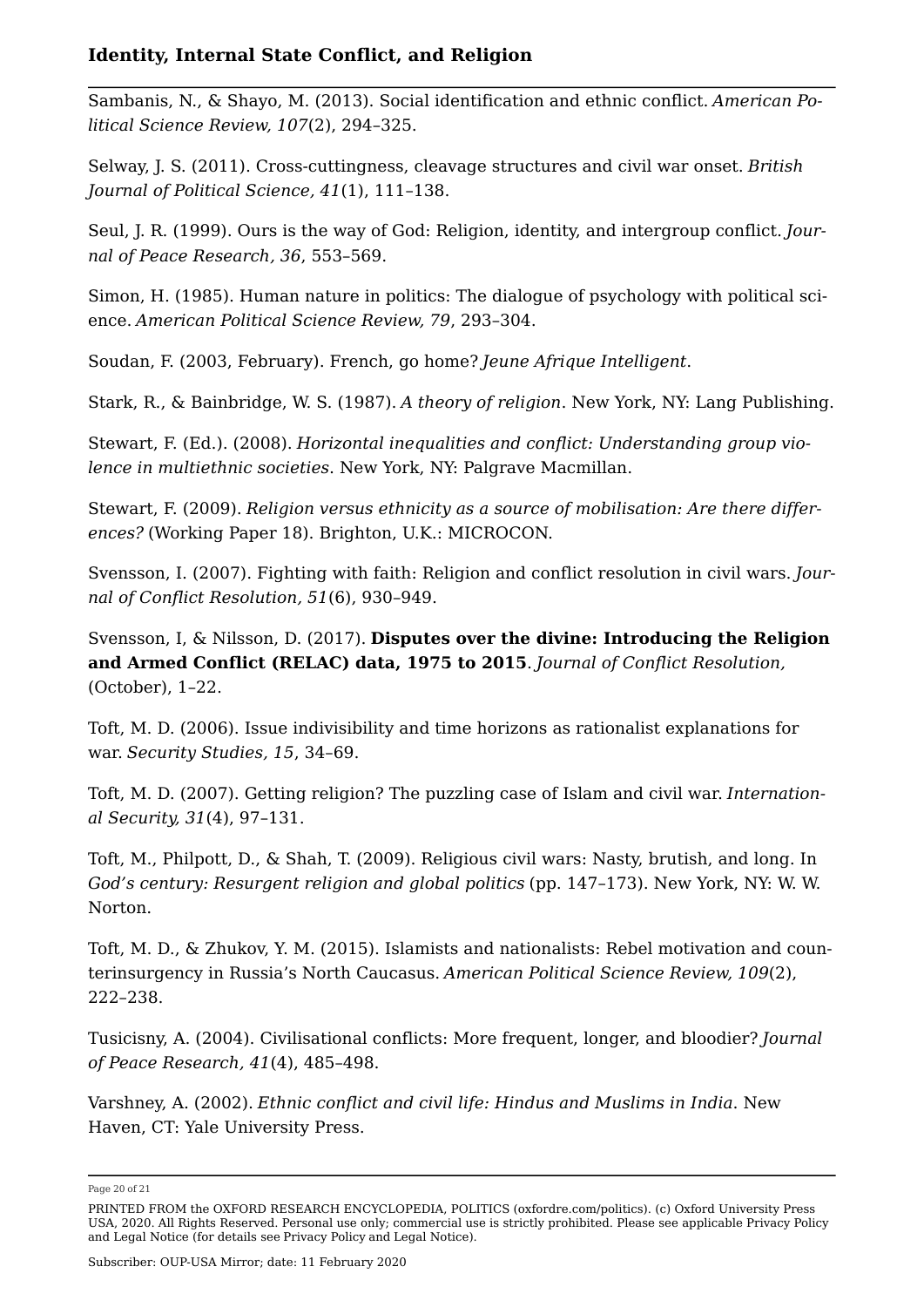Sambanis, N., & Shayo, M. (2013). Social identification and ethnic conflict. *American Political Science Review, 107*(2), 294–325.

Selway, J. S. (2011). Cross-cuttingness, cleavage structures and civil war onset. *British Journal of Political Science, 41*(1), 111–138.

Seul, J. R. (1999). Ours is the way of God: Religion, identity, and intergroup conflict. *Journal of Peace Research, 36*, 553–569.

Simon, H. (1985). Human nature in politics: The dialogue of psychology with political science. *American Political Science Review, 79*, 293–304.

Soudan, F. (2003, February). French, go home? *Jeune Afrique Intelligent*.

Stark, R., & Bainbridge, W. S. (1987). *A theory of religion*. New York, NY: Lang Publishing.

Stewart, F. (Ed.). (2008). *Horizontal inequalities and conflict: Understanding group violence in multiethnic societies*. New York, NY: Palgrave Macmillan.

Stewart, F. (2009). *Religion versus ethnicity as a source of mobilisation: Are there differences?* (Working Paper 18). Brighton, U.K.: MICROCON.

Svensson, I. (2007). Fighting with faith: Religion and conflict resolution in civil wars. *Journal of Conflict Resolution, 51*(6), 930–949.

Svensson, I, & Nilsson, D. (2017). **Disputes over the divine: Introducing the Religion and Armed Conflict (RELAC) data, 1975 to 2015**. *Journal of Conflict Resolution,* (October), 1–22.

Toft, M. D. (2006). Issue indivisibility and time horizons as rationalist explanations for war. *Security Studies, 15*, 34–69.

Toft, M. D. (2007). Getting religion? The puzzling case of Islam and civil war. *International Security, 31*(4), 97–131.

Toft, M., Philpott, D., & Shah, T. (2009). Religious civil wars: Nasty, brutish, and long. In *God's century: Resurgent religion and global politics* (pp. 147–173). New York, NY: W. W. Norton.

Toft, M. D., & Zhukov, Y. M. (2015). Islamists and nationalists: Rebel motivation and counterinsurgency in Russia's North Caucasus. *American Political Science Review, 109*(2), 222–238.

Tusicisny, A. (2004). Civilisational conflicts: More frequent, longer, and bloodier? *Journal of Peace Research, 41*(4), 485–498.

Varshney, A. (2002). *Ethnic conflict and civil life: Hindus and Muslims in India*. New Haven, CT: Yale University Press.

Page 20 of 21

PRINTED FROM the OXFORD RESEARCH ENCYCLOPEDIA, POLITICS (oxfordre.com/politics). (c) Oxford University Press USA, 2020. All Rights Reserved. Personal use only; commercial use is strictly prohibited. Please see applicable Privacy Policy and Legal Notice (for details see Privacy Policy and Legal Notice).